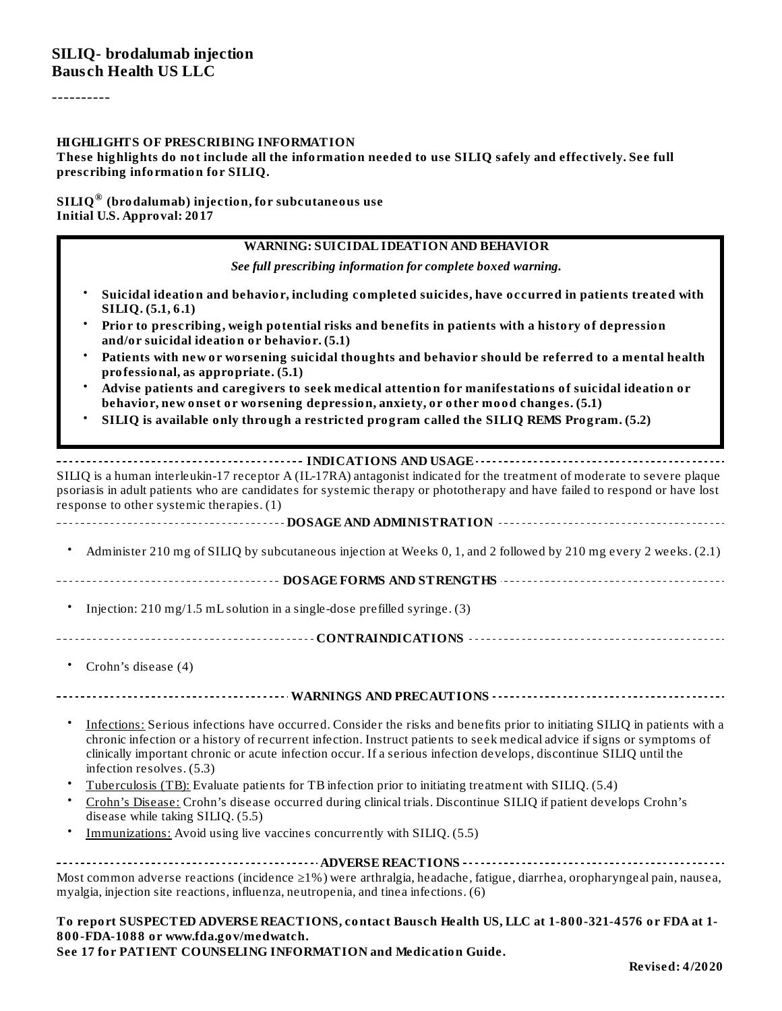----------

#### **HIGHLIGHTS OF PRESCRIBING INFORMATION**

**These highlights do not include all the information needed to use SILIQ safely and effectively. See full prescribing information for SILIQ.**

#### **SILIQ (brodalumab) injection, for subcutaneous use ® Initial U.S. Approval: 2017**

#### **WARNING: SUICIDAL IDEATION AND BEHAVIOR**

*See full prescribing information for complete boxed warning.*

- **Suicidal ideation and behavior, including completed suicides, have occurred in patients treated with SILIQ. (5.1, 6.1)**
- **Prior to prescribing, weigh potential risks and benefits in patients with a history of depression and/or suicidal ideation or behavior. (5.1)**
- **Patients with new or worsening suicidal thoughts and behavior should be referred to a mental health professional, as appropriate. (5.1)**
- **Advise patients and caregivers to seek medical attention for manifestations of suicidal ideation or behavior, new onset or worsening depression, anxiety, or other mood changes. (5.1)**
- **SILIQ is available only through a restricted program called the SILIQ REMS Program. (5.2)**

#### **INDICATIONS AND USAGE INDICATIONS AND USAGE** *CONSIDERATIONS*

SILIQ is a human interleukin-17 receptor A (IL-17RA) antagonist indicated for the treatment of moderate to severe plaque psoriasis in adult patients who are candidates for systemic therapy or phototherapy and have failed to respond or have lost response to other systemic therapies. (1)

#### **DOSAGE AND ADMINISTRATION**

• Administer 210 mg of SILIQ by subcutaneous injection at Weeks 0, 1, and 2 followed by 210 mg every 2 weeks. (2.1)

**DOSAGE FORMS AND STRENGTHS CONFIDENTIFIED INTERFERENCE AND STRENGTHS** 

- Injection: 210 mg/1.5 mL solution in a single-dose prefilled syringe. (3)
- **CONTRAINDICATIONS**
	- Crohn's disease (4)

#### **WARNINGS AND PRECAUTIONS**

- Infections: Serious infections have occurred. Consider the risks and benefits prior to initiating SILIQ in patients with a chronic infection or a history of recurrent infection. Instruct patients to seek medical advice if signs or symptoms of clinically important chronic or acute infection occur. If a serious infection develops, discontinue SILIQ until the infection resolves. (5.3)
- Tuberculosis (TB): Evaluate patients for TB infection prior to initiating treatment with SILIQ. (5.4)
- Crohn's Disease: Crohn's disease occurred during clinical trials. Discontinue SILIQ if patient develops Crohn's disease while taking SILIQ. (5.5)
- Immunizations: Avoid using live vaccines concurrently with SILIQ. (5.5)

**ADVERSE REACTIONS** Most common adverse reactions (incidence ≥1%) were arthralgia, headache, fatigue, diarrhea, oropharyngeal pain, nausea, myalgia, injection site reactions, influenza, neutropenia, and tinea infections. (6)

**To report SUSPECTED ADVERSE REACTIONS, contact Bausch Health US, LLC at 1-800-321-4576 or FDA at 1- 800-FDA-1088 or www.fda.gov/medwatch. See 17 for PATIENT COUNSELING INFORMATION and Medication Guide.**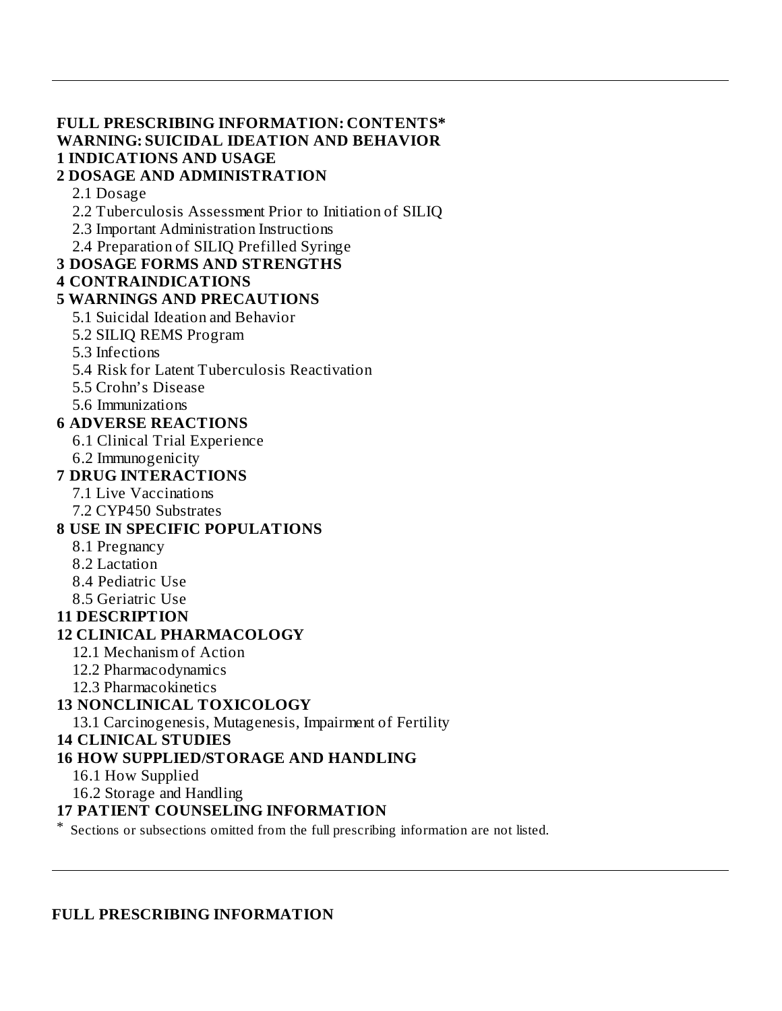### **FULL PRESCRIBING INFORMATION: CONTENTS\* WARNING: SUICIDAL IDEATION AND BEHAVIOR 1 INDICATIONS AND USAGE**

#### **2 DOSAGE AND ADMINISTRATION**

#### 2.1 Dosage

- 2.2 Tuberculosis Assessment Prior to Initiation of SILIQ
- 2.3 Important Administration Instructions
- 2.4 Preparation of SILIQ Prefilled Syringe

#### **3 DOSAGE FORMS AND STRENGTHS**

#### **4 CONTRAINDICATIONS**

#### **5 WARNINGS AND PRECAUTIONS**

- 5.1 Suicidal Ideation and Behavior
- 5.2 SILIQ REMS Program
- 5.3 Infections
- 5.4 Risk for Latent Tuberculosis Reactivation
- 5.5 Crohn's Disease
- 5.6 Immunizations

#### **6 ADVERSE REACTIONS**

- 6.1 Clinical Trial Experience
- 6.2 Immunogenicity

#### **7 DRUG INTERACTIONS**

- 7.1 Live Vaccinations 7.2 CYP450 Substrates
- **8 USE IN SPECIFIC POPULATIONS**
	- 8.1 Pregnancy
	- 8.2 Lactation
	- 8.4 Pediatric Use
	- 8.5 Geriatric Use

#### **11 DESCRIPTION**

### **12 CLINICAL PHARMACOLOGY**

- 12.1 Mechanism of Action
- 12.2 Pharmacodynamics
- 12.3 Pharmacokinetics

### **13 NONCLINICAL TOXICOLOGY**

13.1 Carcinogenesis, Mutagenesis, Impairment of Fertility

#### **14 CLINICAL STUDIES**

### **16 HOW SUPPLIED/STORAGE AND HANDLING**

- 16.1 How Supplied
- 16.2 Storage and Handling

#### **17 PATIENT COUNSELING INFORMATION**

\* Sections or subsections omitted from the full prescribing information are not listed.

#### **FULL PRESCRIBING INFORMATION**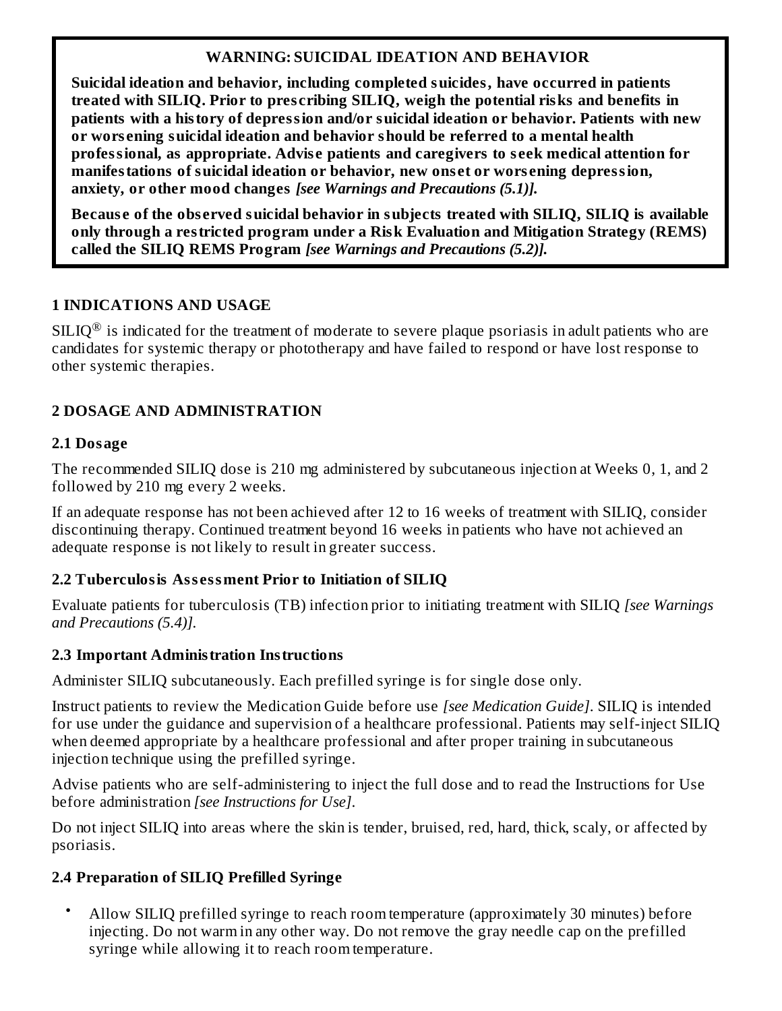#### **WARNING: SUICIDAL IDEATION AND BEHAVIOR**

**Suicidal ideation and behavior, including completed suicides, have occurred in patients treated with SILIQ. Prior to pres cribing SILIQ, weigh the potential risks and benefits in patients with a history of depression and/or suicidal ideation or behavior. Patients with new or wors ening suicidal ideation and behavior should be referred to a mental health professional, as appropriate. Advis e patients and caregivers to s eek medical attention for manifestations of suicidal ideation or behavior, new ons et or wors ening depression, anxiety, or other mood changes** *[see Warnings and Precautions (5.1)].*

**Becaus e of the obs erved suicidal behavior in subjects treated with SILIQ, SILIQ is available only through a restricted program under a Risk Evaluation and Mitigation Strategy (REMS) called the SILIQ REMS Program** *[see Warnings and Precautions (5.2)].*

### **1 INDICATIONS AND USAGE**

 $\text{SILIQ}^{\circledR}$  is indicated for the treatment of moderate to severe plaque psoriasis in adult patients who are candidates for systemic therapy or phototherapy and have failed to respond or have lost response to other systemic therapies.

### **2 DOSAGE AND ADMINISTRATION**

### **2.1 Dosage**

The recommended SILIQ dose is 210 mg administered by subcutaneous injection at Weeks 0, 1, and 2 followed by 210 mg every 2 weeks.

If an adequate response has not been achieved after 12 to 16 weeks of treatment with SILIQ, consider discontinuing therapy. Continued treatment beyond 16 weeks in patients who have not achieved an adequate response is not likely to result in greater success.

### **2.2 Tuberculosis Ass essment Prior to Initiation of SILIQ**

Evaluate patients for tuberculosis (TB) infection prior to initiating treatment with SILIQ *[see Warnings and Precautions (5.4)].*

### **2.3 Important Administration Instructions**

Administer SILIQ subcutaneously. Each prefilled syringe is for single dose only.

Instruct patients to review the Medication Guide before use *[see Medication Guide]*. SILIQ is intended for use under the guidance and supervision of a healthcare professional. Patients may self-inject SILIQ when deemed appropriate by a healthcare professional and after proper training in subcutaneous injection technique using the prefilled syringe.

Advise patients who are self-administering to inject the full dose and to read the Instructions for Use before administration *[see Instructions for Use]*.

Do not inject SILIQ into areas where the skin is tender, bruised, red, hard, thick, scaly, or affected by psoriasis.

## **2.4 Preparation of SILIQ Prefilled Syringe**

• Allow SILIQ prefilled syringe to reach room temperature (approximately 30 minutes) before injecting. Do not warm in any other way. Do not remove the gray needle cap on the prefilled syringe while allowing it to reach room temperature.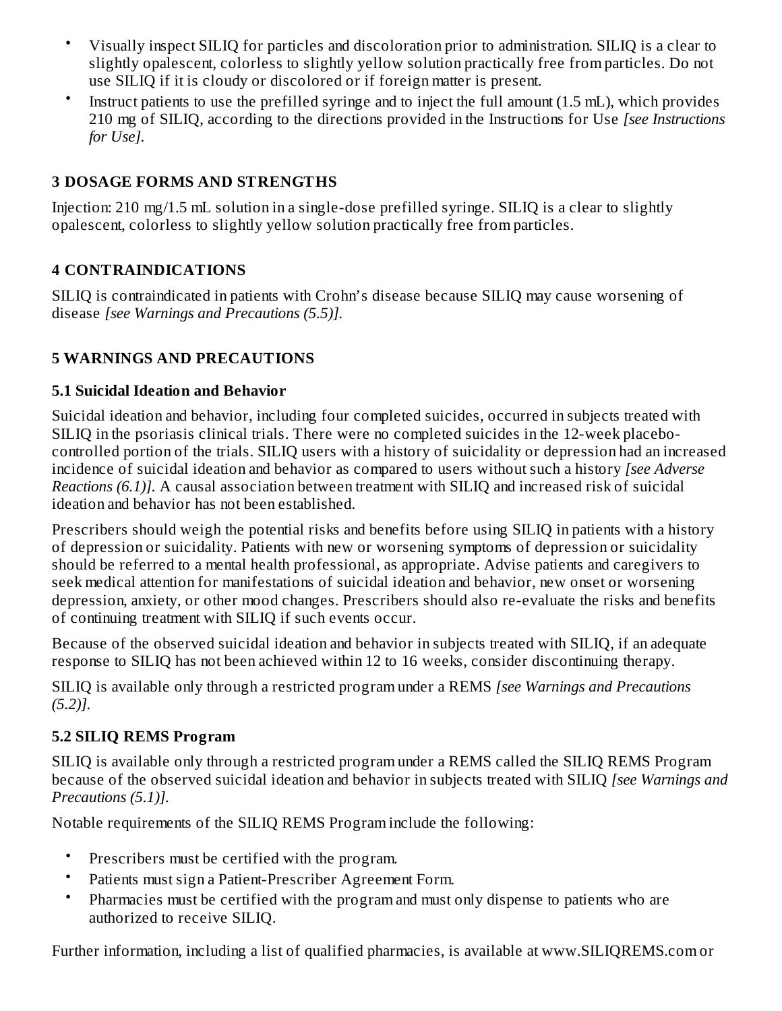- Visually inspect SILIQ for particles and discoloration prior to administration. SILIQ is a clear to slightly opalescent, colorless to slightly yellow solution practically free from particles. Do not use SILIQ if it is cloudy or discolored or if foreign matter is present.
- Instruct patients to use the prefilled syringe and to inject the full amount (1.5 mL), which provides 210 mg of SILIQ, according to the directions provided in the Instructions for Use *[see Instructions for Use].*

### **3 DOSAGE FORMS AND STRENGTHS**

Injection: 210 mg/1.5 mL solution in a single-dose prefilled syringe. SILIQ is a clear to slightly opalescent, colorless to slightly yellow solution practically free from particles.

### **4 CONTRAINDICATIONS**

SILIQ is contraindicated in patients with Crohn's disease because SILIQ may cause worsening of disease *[see Warnings and Precautions (5.5)].*

### **5 WARNINGS AND PRECAUTIONS**

### **5.1 Suicidal Ideation and Behavior**

Suicidal ideation and behavior, including four completed suicides, occurred in subjects treated with SILIQ in the psoriasis clinical trials. There were no completed suicides in the 12-week placebocontrolled portion of the trials. SILIQ users with a history of suicidality or depression had an increased incidence of suicidal ideation and behavior as compared to users without such a history *[see Adverse Reactions (6.1)].* A causal association between treatment with SILIQ and increased risk of suicidal ideation and behavior has not been established.

Prescribers should weigh the potential risks and benefits before using SILIQ in patients with a history of depression or suicidality. Patients with new or worsening symptoms of depression or suicidality should be referred to a mental health professional, as appropriate. Advise patients and caregivers to seek medical attention for manifestations of suicidal ideation and behavior, new onset or worsening depression, anxiety, or other mood changes. Prescribers should also re-evaluate the risks and benefits of continuing treatment with SILIQ if such events occur.

Because of the observed suicidal ideation and behavior in subjects treated with SILIQ, if an adequate response to SILIQ has not been achieved within 12 to 16 weeks, consider discontinuing therapy.

SILIQ is available only through a restricted program under a REMS *[see Warnings and Precautions (5.2)].*

### **5.2 SILIQ REMS Program**

SILIQ is available only through a restricted program under a REMS called the SILIQ REMS Program because of the observed suicidal ideation and behavior in subjects treated with SILIQ *[see Warnings and Precautions (5.1)].*

Notable requirements of the SILIQ REMS Program include the following:

- Prescribers must be certified with the program.
- Patients must sign a Patient-Prescriber Agreement Form.
- Pharmacies must be certified with the program and must only dispense to patients who are authorized to receive SILIQ.

Further information, including a list of qualified pharmacies, is available at www.SILIQREMS.com or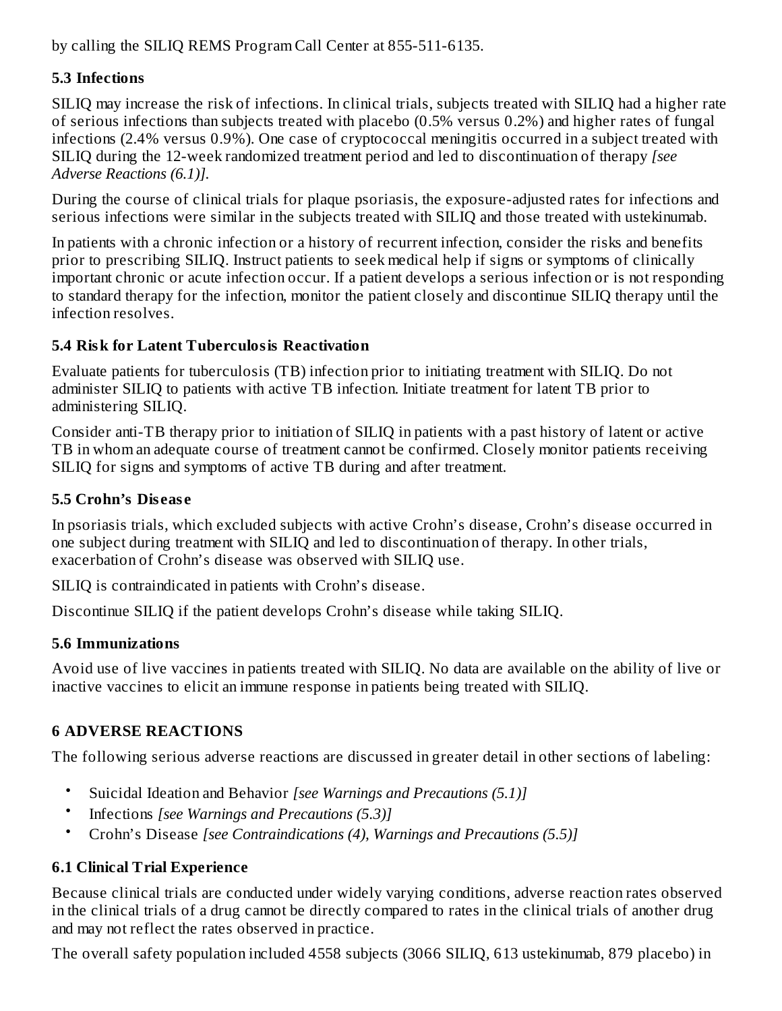by calling the SILIQ REMS Program Call Center at 855-511-6135.

### **5.3 Infections**

SILIQ may increase the risk of infections. In clinical trials, subjects treated with SILIQ had a higher rate of serious infections than subjects treated with placebo (0.5% versus 0.2%) and higher rates of fungal infections (2.4% versus 0.9%). One case of cryptococcal meningitis occurred in a subject treated with SILIQ during the 12-week randomized treatment period and led to discontinuation of therapy *[see Adverse Reactions (6.1)].*

During the course of clinical trials for plaque psoriasis, the exposure-adjusted rates for infections and serious infections were similar in the subjects treated with SILIQ and those treated with ustekinumab.

In patients with a chronic infection or a history of recurrent infection, consider the risks and benefits prior to prescribing SILIQ. Instruct patients to seek medical help if signs or symptoms of clinically important chronic or acute infection occur. If a patient develops a serious infection or is not responding to standard therapy for the infection, monitor the patient closely and discontinue SILIQ therapy until the infection resolves.

### **5.4 Risk for Latent Tuberculosis Reactivation**

Evaluate patients for tuberculosis (TB) infection prior to initiating treatment with SILIQ. Do not administer SILIQ to patients with active TB infection. Initiate treatment for latent TB prior to administering SILIQ.

Consider anti-TB therapy prior to initiation of SILIQ in patients with a past history of latent or active TB in whom an adequate course of treatment cannot be confirmed. Closely monitor patients receiving SILIQ for signs and symptoms of active TB during and after treatment.

### **5.5 Crohn's Dis eas e**

In psoriasis trials, which excluded subjects with active Crohn's disease, Crohn's disease occurred in one subject during treatment with SILIQ and led to discontinuation of therapy. In other trials, exacerbation of Crohn's disease was observed with SILIQ use.

SILIQ is contraindicated in patients with Crohn's disease.

Discontinue SILIQ if the patient develops Crohn's disease while taking SILIQ.

### **5.6 Immunizations**

Avoid use of live vaccines in patients treated with SILIQ. No data are available on the ability of live or inactive vaccines to elicit an immune response in patients being treated with SILIQ.

## **6 ADVERSE REACTIONS**

The following serious adverse reactions are discussed in greater detail in other sections of labeling:

- Suicidal Ideation and Behavior *[see Warnings and Precautions (5.1)]*
- Infections *[see Warnings and Precautions (5.3)]*
- Crohn's Disease *[see Contraindications (4), Warnings and Precautions (5.5)]*

## **6.1 Clinical Trial Experience**

Because clinical trials are conducted under widely varying conditions, adverse reaction rates observed in the clinical trials of a drug cannot be directly compared to rates in the clinical trials of another drug and may not reflect the rates observed in practice.

The overall safety population included 4558 subjects (3066 SILIQ, 613 ustekinumab, 879 placebo) in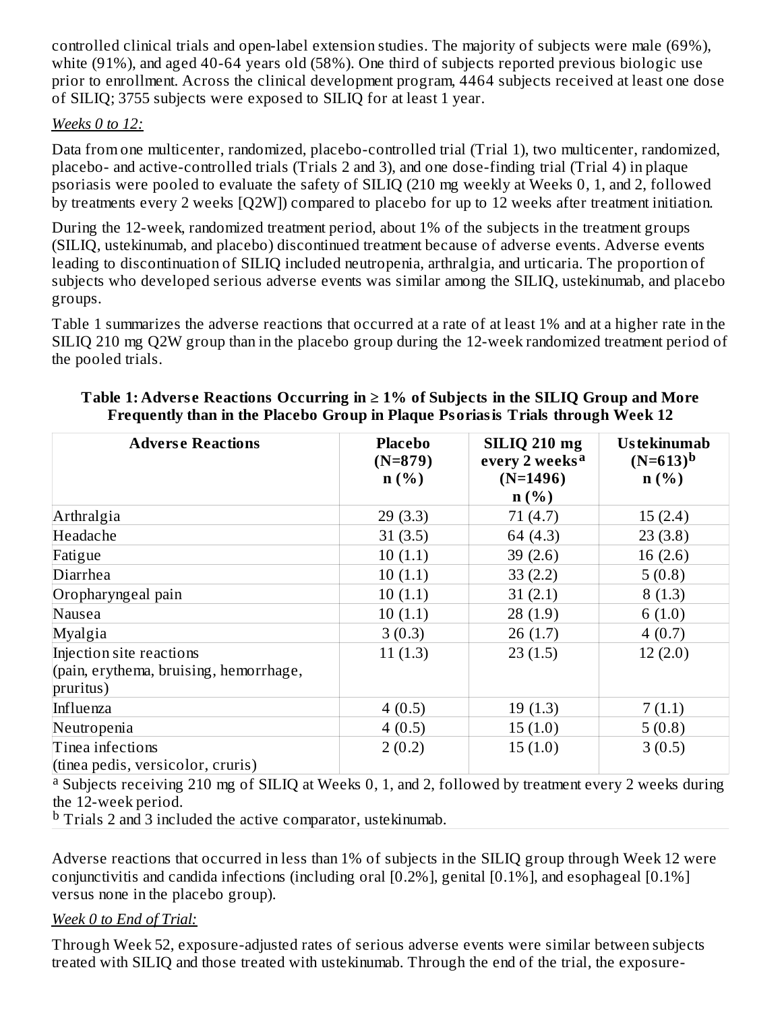controlled clinical trials and open-label extension studies. The majority of subjects were male (69%), white (91%), and aged 40-64 years old (58%). One third of subjects reported previous biologic use prior to enrollment. Across the clinical development program, 4464 subjects received at least one dose of SILIQ; 3755 subjects were exposed to SILIQ for at least 1 year.

#### *Weeks 0 to 12:*

Data from one multicenter, randomized, placebo-controlled trial (Trial 1), two multicenter, randomized, placebo- and active-controlled trials (Trials 2 and 3), and one dose-finding trial (Trial 4) in plaque psoriasis were pooled to evaluate the safety of SILIQ (210 mg weekly at Weeks 0, 1, and 2, followed by treatments every 2 weeks [Q2W]) compared to placebo for up to 12 weeks after treatment initiation.

During the 12-week, randomized treatment period, about 1% of the subjects in the treatment groups (SILIQ, ustekinumab, and placebo) discontinued treatment because of adverse events. Adverse events leading to discontinuation of SILIQ included neutropenia, arthralgia, and urticaria. The proportion of subjects who developed serious adverse events was similar among the SILIQ, ustekinumab, and placebo groups.

Table 1 summarizes the adverse reactions that occurred at a rate of at least 1% and at a higher rate in the SILIQ 210 mg Q2W group than in the placebo group during the 12-week randomized treatment period of the pooled trials.

| <b>Adverse Reactions</b>               | <b>Placebo</b><br>$(N=879)$ | <b>SILIQ 210 mg</b><br>every 2 weeks <sup>a</sup> | <b>Ustekinumab</b><br>$(N=613)^b$ |  |
|----------------------------------------|-----------------------------|---------------------------------------------------|-----------------------------------|--|
|                                        | $n(\%)$                     | $(N=1496)$                                        | $n$ (%)                           |  |
|                                        |                             | $n$ (%)                                           |                                   |  |
| Arthralgia                             | 29(3.3)                     | 71(4.7)                                           | 15(2.4)                           |  |
| Headache                               | 31(3.5)                     | 64 (4.3)                                          | 23(3.8)                           |  |
| Fatigue                                | 10(1.1)                     | 39 $(2.6)$                                        | 16(2.6)                           |  |
| Diarrhea                               | 10(1.1)                     | 33(2.2)                                           | 5(0.8)                            |  |
| Oropharyngeal pain                     | 10(1.1)                     | 31(2.1)                                           | 8(1.3)                            |  |
| Nausea                                 | 10(1.1)                     | 28(1.9)                                           | 6(1.0)                            |  |
| Myalgia                                | 3(0.3)                      | 26(1.7)                                           | 4(0.7)                            |  |
| Injection site reactions               | 11(1.3)                     | 23(1.5)                                           | 12(2.0)                           |  |
| (pain, erythema, bruising, hemorrhage, |                             |                                                   |                                   |  |
| pruritus)                              |                             |                                                   |                                   |  |
| Influenza                              | 4(0.5)                      | 19(1.3)                                           | 7(1.1)                            |  |
| Neutropenia                            | 4(0.5)                      | 15(1.0)                                           | 5(0.8)                            |  |
| Tinea infections                       | 2(0.2)                      | 15(1.0)                                           | 3(0.5)                            |  |
| (tinea pedis, versicolor, cruris)      |                             |                                                   |                                   |  |

#### **Table 1: Advers e Reactions Occurring in ≥ 1% of Subjects in the SILIQ Group and More Frequently than in the Placebo Group in Plaque Psoriasis Trials through Week 12**

<sup>a</sup> Subjects receiving 210 mg of SILIQ at Weeks 0, 1, and 2, followed by treatment every 2 weeks during the 12-week period.

 $\rm{^b}$  Trials 2 and 3 included the active comparator, ustekinumab.

Adverse reactions that occurred in less than 1% of subjects in the SILIQ group through Week 12 were conjunctivitis and candida infections (including oral [0.2%], genital [0.1%], and esophageal [0.1%] versus none in the placebo group).

#### *Week 0 to End of Trial:*

Through Week 52, exposure-adjusted rates of serious adverse events were similar between subjects treated with SILIQ and those treated with ustekinumab. Through the end of the trial, the exposure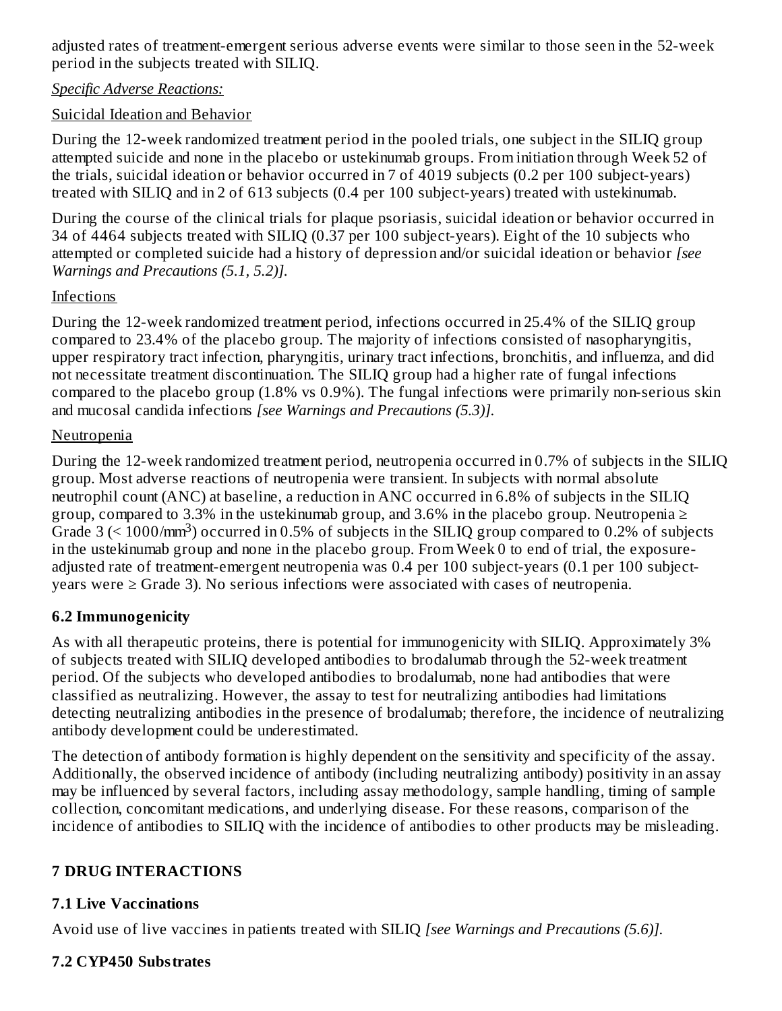adjusted rates of treatment-emergent serious adverse events were similar to those seen in the 52-week period in the subjects treated with SILIQ.

#### *Specific Adverse Reactions:*

### Suicidal Ideation and Behavior

During the 12-week randomized treatment period in the pooled trials, one subject in the SILIQ group attempted suicide and none in the placebo or ustekinumab groups. From initiation through Week 52 of the trials, suicidal ideation or behavior occurred in 7 of 4019 subjects (0.2 per 100 subject-years) treated with SILIQ and in 2 of 613 subjects (0.4 per 100 subject-years) treated with ustekinumab.

During the course of the clinical trials for plaque psoriasis, suicidal ideation or behavior occurred in 34 of 4464 subjects treated with SILIQ (0.37 per 100 subject-years). Eight of the 10 subjects who attempted or completed suicide had a history of depression and/or suicidal ideation or behavior *[see Warnings and Precautions (5.1, 5.2)].*

### Infections

During the 12-week randomized treatment period, infections occurred in 25.4% of the SILIQ group compared to 23.4% of the placebo group. The majority of infections consisted of nasopharyngitis, upper respiratory tract infection, pharyngitis, urinary tract infections, bronchitis, and influenza, and did not necessitate treatment discontinuation. The SILIQ group had a higher rate of fungal infections compared to the placebo group (1.8% vs 0.9%). The fungal infections were primarily non-serious skin and mucosal candida infections *[see Warnings and Precautions (5.3)].*

### **Neutropenia**

During the 12-week randomized treatment period, neutropenia occurred in 0.7% of subjects in the SILIQ group. Most adverse reactions of neutropenia were transient. In subjects with normal absolute neutrophil count (ANC) at baseline, a reduction in ANC occurred in 6.8% of subjects in the SILIQ group, compared to 3.3% in the ustekinumab group, and 3.6% in the placebo group. Neutropenia  $\geq$ Grade  $3$  (<  $1000/\text{mm}^3$ ) occurred in 0.5% of subjects in the SILIQ group compared to 0.2% of subjects in the ustekinumab group and none in the placebo group. From Week 0 to end of trial, the exposureadjusted rate of treatment-emergent neutropenia was 0.4 per 100 subject-years (0.1 per 100 subjectyears were ≥ Grade 3). No serious infections were associated with cases of neutropenia.

### **6.2 Immunogenicity**

As with all therapeutic proteins, there is potential for immunogenicity with SILIQ. Approximately 3% of subjects treated with SILIQ developed antibodies to brodalumab through the 52-week treatment period. Of the subjects who developed antibodies to brodalumab, none had antibodies that were classified as neutralizing. However, the assay to test for neutralizing antibodies had limitations detecting neutralizing antibodies in the presence of brodalumab; therefore, the incidence of neutralizing antibody development could be underestimated.

The detection of antibody formation is highly dependent on the sensitivity and specificity of the assay. Additionally, the observed incidence of antibody (including neutralizing antibody) positivity in an assay may be influenced by several factors, including assay methodology, sample handling, timing of sample collection, concomitant medications, and underlying disease. For these reasons, comparison of the incidence of antibodies to SILIQ with the incidence of antibodies to other products may be misleading.

### **7 DRUG INTERACTIONS**

### **7.1 Live Vaccinations**

Avoid use of live vaccines in patients treated with SILIQ *[see Warnings and Precautions (5.6)].*

## **7.2 CYP450 Substrates**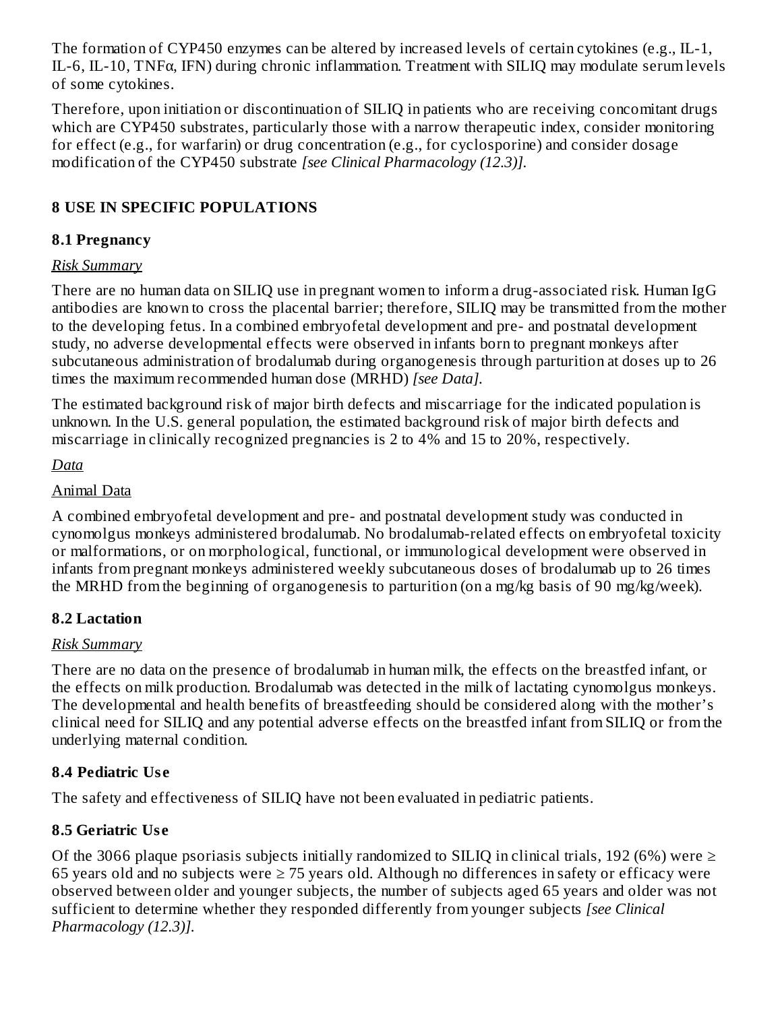The formation of CYP450 enzymes can be altered by increased levels of certain cytokines (e.g., IL-1, IL-6, IL-10, TNFα, IFN) during chronic inflammation. Treatment with SILIQ may modulate serum levels of some cytokines.

Therefore, upon initiation or discontinuation of SILIQ in patients who are receiving concomitant drugs which are CYP450 substrates, particularly those with a narrow therapeutic index, consider monitoring for effect (e.g., for warfarin) or drug concentration (e.g., for cyclosporine) and consider dosage modification of the CYP450 substrate *[see Clinical Pharmacology (12.3)].*

### **8 USE IN SPECIFIC POPULATIONS**

### **8.1 Pregnancy**

### *Risk Summary*

There are no human data on SILIQ use in pregnant women to inform a drug-associated risk. Human IgG antibodies are known to cross the placental barrier; therefore, SILIQ may be transmitted from the mother to the developing fetus. In a combined embryofetal development and pre- and postnatal development study, no adverse developmental effects were observed in infants born to pregnant monkeys after subcutaneous administration of brodalumab during organogenesis through parturition at doses up to 26 times the maximum recommended human dose (MRHD) *[see Data].*

The estimated background risk of major birth defects and miscarriage for the indicated population is unknown. In the U.S. general population, the estimated background risk of major birth defects and miscarriage in clinically recognized pregnancies is 2 to 4% and 15 to 20%, respectively.

*Data*

### Animal Data

A combined embryofetal development and pre- and postnatal development study was conducted in cynomolgus monkeys administered brodalumab. No brodalumab-related effects on embryofetal toxicity or malformations, or on morphological, functional, or immunological development were observed in infants from pregnant monkeys administered weekly subcutaneous doses of brodalumab up to 26 times the MRHD from the beginning of organogenesis to parturition (on a mg/kg basis of 90 mg/kg/week).

### **8.2 Lactation**

### *Risk Summary*

There are no data on the presence of brodalumab in human milk, the effects on the breastfed infant, or the effects on milk production. Brodalumab was detected in the milk of lactating cynomolgus monkeys. The developmental and health benefits of breastfeeding should be considered along with the mother's clinical need for SILIQ and any potential adverse effects on the breastfed infant from SILIQ or from the underlying maternal condition.

## **8.4 Pediatric Us e**

The safety and effectiveness of SILIQ have not been evaluated in pediatric patients.

## **8.5 Geriatric Us e**

Of the 3066 plaque psoriasis subjects initially randomized to SILIQ in clinical trials, 192 (6%) were  $\geq$ 65 years old and no subjects were  $\geq$  75 years old. Although no differences in safety or efficacy were observed between older and younger subjects, the number of subjects aged 65 years and older was not sufficient to determine whether they responded differently from younger subjects *[see Clinical Pharmacology (12.3)].*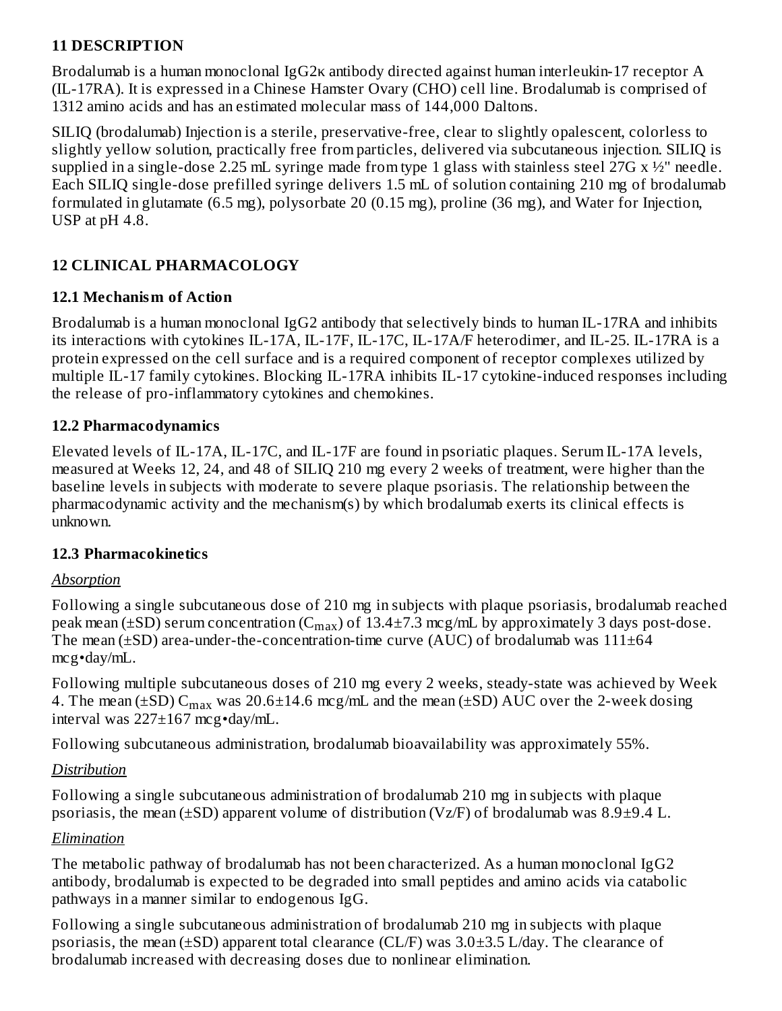### **11 DESCRIPTION**

Brodalumab is a human monoclonal IgG2κ antibody directed against human interleukin-17 receptor A (IL-17RA). It is expressed in a Chinese Hamster Ovary (CHO) cell line. Brodalumab is comprised of 1312 amino acids and has an estimated molecular mass of 144,000 Daltons.

SILIQ (brodalumab) Injection is a sterile, preservative-free, clear to slightly opalescent, colorless to slightly yellow solution, practically free from particles, delivered via subcutaneous injection. SILIQ is supplied in a single-dose 2.25 mL syringe made from type 1 glass with stainless steel 27G  $x \frac{1}{2}$ " needle. Each SILIQ single-dose prefilled syringe delivers 1.5 mL of solution containing 210 mg of brodalumab formulated in glutamate (6.5 mg), polysorbate 20 (0.15 mg), proline (36 mg), and Water for Injection, USP at pH 4.8.

### **12 CLINICAL PHARMACOLOGY**

### **12.1 Mechanism of Action**

Brodalumab is a human monoclonal IgG2 antibody that selectively binds to human IL-17RA and inhibits its interactions with cytokines IL-17A, IL-17F, IL-17C, IL-17A/F heterodimer, and IL-25. IL-17RA is a protein expressed on the cell surface and is a required component of receptor complexes utilized by multiple IL-17 family cytokines. Blocking IL-17RA inhibits IL-17 cytokine-induced responses including the release of pro-inflammatory cytokines and chemokines.

### **12.2 Pharmacodynamics**

Elevated levels of IL-17A, IL-17C, and IL-17F are found in psoriatic plaques. Serum IL-17A levels, measured at Weeks 12, 24, and 48 of SILIQ 210 mg every 2 weeks of treatment, were higher than the baseline levels in subjects with moderate to severe plaque psoriasis. The relationship between the pharmacodynamic activity and the mechanism(s) by which brodalumab exerts its clinical effects is unknown.

#### **12.3 Pharmacokinetics**

#### *Absorption*

Following a single subcutaneous dose of 210 mg in subjects with plaque psoriasis, brodalumab reached peak mean (±SD) serum concentration ( $C_{max}$ ) of 13.4±7.3 mcg/mL by approximately 3 days post-dose. The mean  $(\pm SD)$  area-under-the-concentration-time curve (AUC) of brodalumab was  $111\pm64$ mcg•day/mL.

Following multiple subcutaneous doses of 210 mg every 2 weeks, steady-state was achieved by Week 4. The mean (±SD)  $\mathsf{C}_{\max}$  was 20.6±14.6 mcg/mL and the mean (±SD) AUC over the 2-week dosing interval was 227±167 mcg•day/mL.

Following subcutaneous administration, brodalumab bioavailability was approximately 55%.

### *Distribution*

Following a single subcutaneous administration of brodalumab 210 mg in subjects with plaque psoriasis, the mean ( $\pm$ SD) apparent volume of distribution (Vz/F) of brodalumab was 8.9 $\pm$ 9.4 L.

### *Elimination*

The metabolic pathway of brodalumab has not been characterized. As a human monoclonal IgG2 antibody, brodalumab is expected to be degraded into small peptides and amino acids via catabolic pathways in a manner similar to endogenous IgG.

Following a single subcutaneous administration of brodalumab 210 mg in subjects with plaque psoriasis, the mean  $(\pm SD)$  apparent total clearance (CL/F) was  $3.0\pm3.5$  L/day. The clearance of brodalumab increased with decreasing doses due to nonlinear elimination.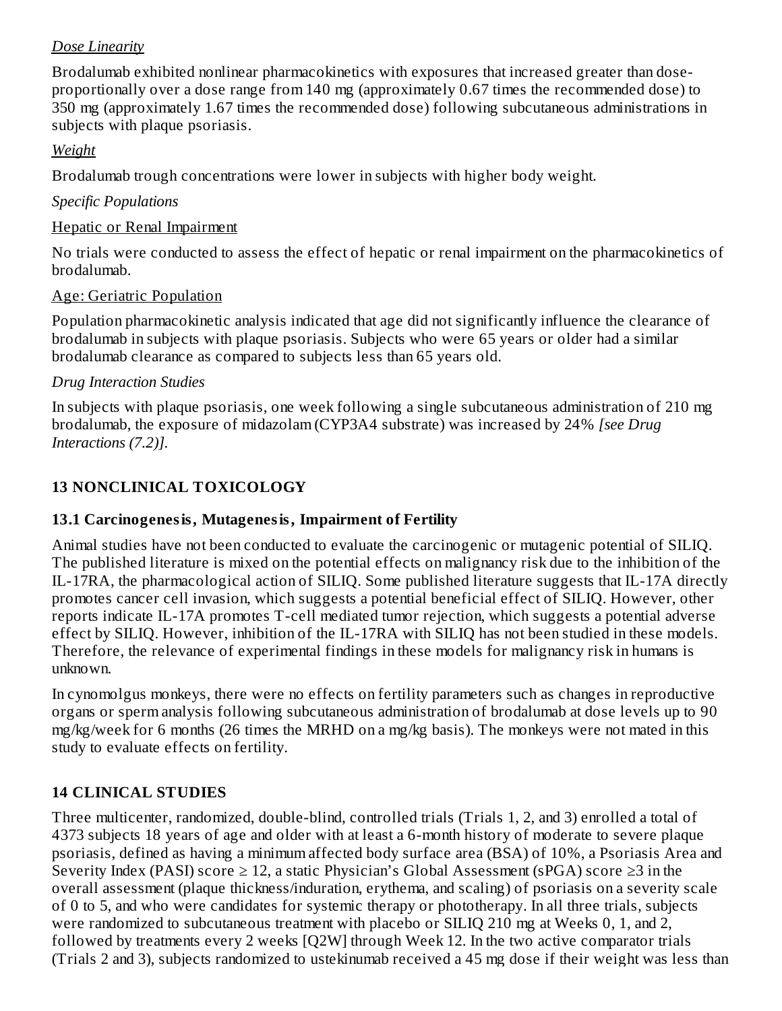### *Dose Linearity*

Brodalumab exhibited nonlinear pharmacokinetics with exposures that increased greater than doseproportionally over a dose range from 140 mg (approximately 0.67 times the recommended dose) to 350 mg (approximately 1.67 times the recommended dose) following subcutaneous administrations in subjects with plaque psoriasis.

### *Weight*

Brodalumab trough concentrations were lower in subjects with higher body weight.

### *Specific Populations*

#### Hepatic or Renal Impairment

No trials were conducted to assess the effect of hepatic or renal impairment on the pharmacokinetics of brodalumab.

#### Age: Geriatric Population

Population pharmacokinetic analysis indicated that age did not significantly influence the clearance of brodalumab in subjects with plaque psoriasis. Subjects who were 65 years or older had a similar brodalumab clearance as compared to subjects less than 65 years old.

#### *Drug Interaction Studies*

In subjects with plaque psoriasis, one week following a single subcutaneous administration of 210 mg brodalumab, the exposure of midazolam (CYP3A4 substrate) was increased by 24% *[see Drug Interactions (7.2)].*

### **13 NONCLINICAL TOXICOLOGY**

### **13.1 Carcinogenesis, Mutagenesis, Impairment of Fertility**

Animal studies have not been conducted to evaluate the carcinogenic or mutagenic potential of SILIQ. The published literature is mixed on the potential effects on malignancy risk due to the inhibition of the IL-17RA, the pharmacological action of SILIQ. Some published literature suggests that IL-17A directly promotes cancer cell invasion, which suggests a potential beneficial effect of SILIQ. However, other reports indicate IL-17A promotes T-cell mediated tumor rejection, which suggests a potential adverse effect by SILIQ. However, inhibition of the IL-17RA with SILIQ has not been studied in these models. Therefore, the relevance of experimental findings in these models for malignancy risk in humans is unknown.

In cynomolgus monkeys, there were no effects on fertility parameters such as changes in reproductive organs or sperm analysis following subcutaneous administration of brodalumab at dose levels up to 90 mg/kg/week for 6 months (26 times the MRHD on a mg/kg basis). The monkeys were not mated in this study to evaluate effects on fertility.

### **14 CLINICAL STUDIES**

Three multicenter, randomized, double-blind, controlled trials (Trials 1, 2, and 3) enrolled a total of 4373 subjects 18 years of age and older with at least a 6-month history of moderate to severe plaque psoriasis, defined as having a minimum affected body surface area (BSA) of 10%, a Psoriasis Area and Severity Index (PASI) score  $\geq 12$ , a static Physician's Global Assessment (sPGA) score  $\geq 3$  in the overall assessment (plaque thickness/induration, erythema, and scaling) of psoriasis on a severity scale of 0 to 5, and who were candidates for systemic therapy or phototherapy. In all three trials, subjects were randomized to subcutaneous treatment with placebo or SILIQ 210 mg at Weeks 0, 1, and 2, followed by treatments every 2 weeks [Q2W] through Week 12. In the two active comparator trials (Trials 2 and 3), subjects randomized to ustekinumab received a 45 mg dose if their weight was less than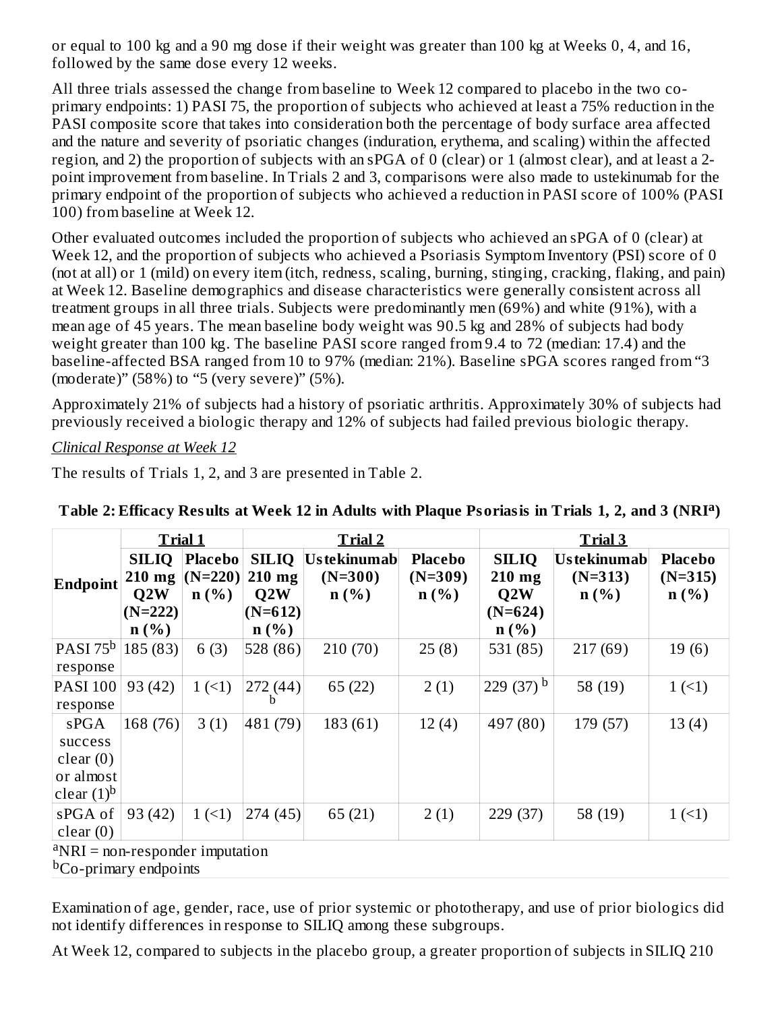or equal to 100 kg and a 90 mg dose if their weight was greater than 100 kg at Weeks 0, 4, and 16, followed by the same dose every 12 weeks.

All three trials assessed the change from baseline to Week 12 compared to placebo in the two coprimary endpoints: 1) PASI 75, the proportion of subjects who achieved at least a 75% reduction in the PASI composite score that takes into consideration both the percentage of body surface area affected and the nature and severity of psoriatic changes (induration, erythema, and scaling) within the affected region, and 2) the proportion of subjects with an sPGA of 0 (clear) or 1 (almost clear), and at least a 2 point improvement from baseline. In Trials 2 and 3, comparisons were also made to ustekinumab for the primary endpoint of the proportion of subjects who achieved a reduction in PASI score of 100% (PASI 100) from baseline at Week 12.

Other evaluated outcomes included the proportion of subjects who achieved an sPGA of 0 (clear) at Week 12, and the proportion of subjects who achieved a Psoriasis Symptom Inventory (PSI) score of 0 (not at all) or 1 (mild) on every item (itch, redness, scaling, burning, stinging, cracking, flaking, and pain) at Week 12. Baseline demographics and disease characteristics were generally consistent across all treatment groups in all three trials. Subjects were predominantly men (69%) and white (91%), with a mean age of 45 years. The mean baseline body weight was 90.5 kg and 28% of subjects had body weight greater than 100 kg. The baseline PASI score ranged from 9.4 to 72 (median: 17.4) and the baseline-affected BSA ranged from 10 to 97% (median: 21%). Baseline sPGA scores ranged from "3 (moderate)" (58%) to "5 (very severe)" (5%).

Approximately 21% of subjects had a history of psoriatic arthritis. Approximately 30% of subjects had previously received a biologic therapy and 12% of subjects had failed previous biologic therapy.

#### *Clinical Response at Week 12*

The results of Trials 1, 2, and 3 are presented in Table 2.

|                                                           |                                                         | <b>Trial 1</b><br>Trial 2           |                                                         |                                      |                                                   | <b>Trial 3</b>                                          |                                       |                                                            |  |
|-----------------------------------------------------------|---------------------------------------------------------|-------------------------------------|---------------------------------------------------------|--------------------------------------|---------------------------------------------------|---------------------------------------------------------|---------------------------------------|------------------------------------------------------------|--|
| Endpoint                                                  | <b>SILIQ</b><br>$210$ mg<br>Q2W<br>$(N=222)$<br>$n(\%)$ | <b>Placebo</b><br>$(N=220)$<br>n(%) | <b>SILIQ</b><br>$210$ mg<br>Q2W<br>$(N=612)$<br>$n(\%)$ | Us tekinumab<br>$(N=300)$<br>$n(\%)$ | <b>Placebo</b><br>$(N=309)$<br>$n\left(\%\right)$ | <b>SILIQ</b><br>$210$ mg<br>Q2W<br>$(N=624)$<br>$n(\%)$ | Us te kinumab<br>$(N=313)$<br>$n$ (%) | <b>Placebo</b><br>$(N=315)$<br>$n\left(\frac{9}{6}\right)$ |  |
| PASI 75 <sup>b</sup><br>response                          | 185(83)                                                 | 6(3)                                | 528(86)                                                 | 210(70)                              | 25(8)                                             | 531 (85)                                                | 217 (69)                              | 19(6)                                                      |  |
| <b>PASI 100</b><br>response                               | 93 (42)                                                 | 1(1)                                | 272 (44)<br>n                                           | 65(22)                               | 2(1)                                              | 229 (37) <sup>b</sup>                                   | 58 (19)                               | 1(                                                         |  |
| sPGA<br>success<br>clear(0)<br>or almost<br>clear $(1)^b$ | 168 (76)                                                | 3(1)                                | 481 (79)                                                | 183 (61)                             | 12(4)                                             | 497 (80)                                                | 179 (57)                              | 13(4)                                                      |  |
| sPGA of<br>clear(0)<br>$dNRI =$ non-responder imputation  | 93 (42)                                                 | 1(1)                                | 274(45)                                                 | 65 (21)                              | 2(1)                                              | 229 (37)                                                | 58 (19)                               | 1(1)                                                       |  |

Table 2: Efficacy Results at Week 12 in Adults with Plaque Psoriasis in Trials 1, 2, and 3 (NRI<sup>a</sup>)

non-responder imputation.

<sup>b</sup>Co-primary endpoints

Examination of age, gender, race, use of prior systemic or phototherapy, and use of prior biologics did not identify differences in response to SILIQ among these subgroups.

At Week 12, compared to subjects in the placebo group, a greater proportion of subjects in SILIQ 210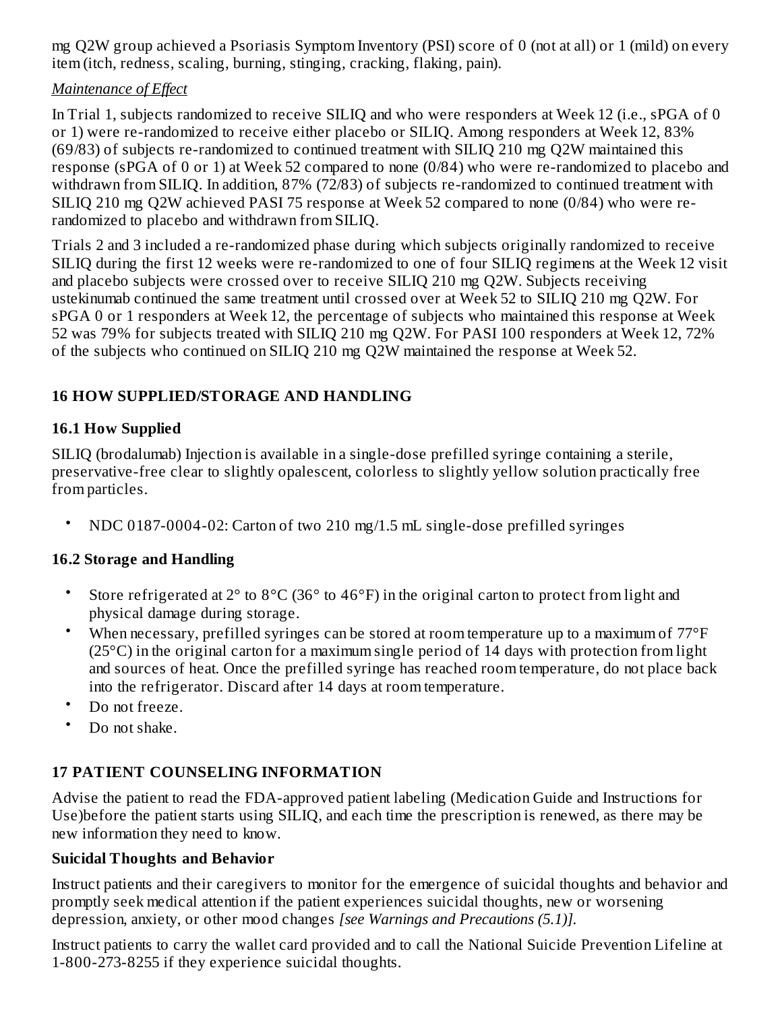mg Q2W group achieved a Psoriasis Symptom Inventory (PSI) score of 0 (not at all) or 1 (mild) on every item (itch, redness, scaling, burning, stinging, cracking, flaking, pain).

### *Maintenance of Effect*

In Trial 1, subjects randomized to receive SILIQ and who were responders at Week 12 (i.e., sPGA of 0 or 1) were re-randomized to receive either placebo or SILIQ. Among responders at Week 12, 83% (69/83) of subjects re-randomized to continued treatment with SILIQ 210 mg Q2W maintained this response (sPGA of 0 or 1) at Week 52 compared to none (0/84) who were re-randomized to placebo and withdrawn from SILIQ. In addition, 87% (72/83) of subjects re-randomized to continued treatment with SILIQ 210 mg Q2W achieved PASI 75 response at Week 52 compared to none (0/84) who were rerandomized to placebo and withdrawn from SILIQ.

Trials 2 and 3 included a re-randomized phase during which subjects originally randomized to receive SILIQ during the first 12 weeks were re-randomized to one of four SILIQ regimens at the Week 12 visit and placebo subjects were crossed over to receive SILIQ 210 mg Q2W. Subjects receiving ustekinumab continued the same treatment until crossed over at Week 52 to SILIQ 210 mg Q2W. For sPGA 0 or 1 responders at Week 12, the percentage of subjects who maintained this response at Week 52 was 79% for subjects treated with SILIQ 210 mg Q2W. For PASI 100 responders at Week 12, 72% of the subjects who continued on SILIQ 210 mg Q2W maintained the response at Week 52.

## **16 HOW SUPPLIED/STORAGE AND HANDLING**

### **16.1 How Supplied**

SILIQ (brodalumab) Injection is available in a single-dose prefilled syringe containing a sterile, preservative-free clear to slightly opalescent, colorless to slightly yellow solution practically free from particles.

• NDC 0187-0004-02: Carton of two 210 mg/1.5 mL single-dose prefilled syringes

## **16.2 Storage and Handling**

- Store refrigerated at 2° to 8°C (36° to 46°F) in the original carton to protect from light and physical damage during storage.
- When necessary, prefilled syringes can be stored at room temperature up to a maximum of 77°F (25°C) in the original carton for a maximum single period of 14 days with protection from light and sources of heat. Once the prefilled syringe has reached room temperature, do not place back into the refrigerator. Discard after 14 days at room temperature.
- Do not freeze.
- Do not shake.

## **17 PATIENT COUNSELING INFORMATION**

Advise the patient to read the FDA-approved patient labeling (Medication Guide and Instructions for Use)before the patient starts using SILIQ, and each time the prescription is renewed, as there may be new information they need to know.

## **Suicidal Thoughts and Behavior**

Instruct patients and their caregivers to monitor for the emergence of suicidal thoughts and behavior and promptly seek medical attention if the patient experiences suicidal thoughts, new or worsening depression, anxiety, or other mood changes *[see Warnings and Precautions (5.1)].*

Instruct patients to carry the wallet card provided and to call the National Suicide Prevention Lifeline at 1-800-273-8255 if they experience suicidal thoughts.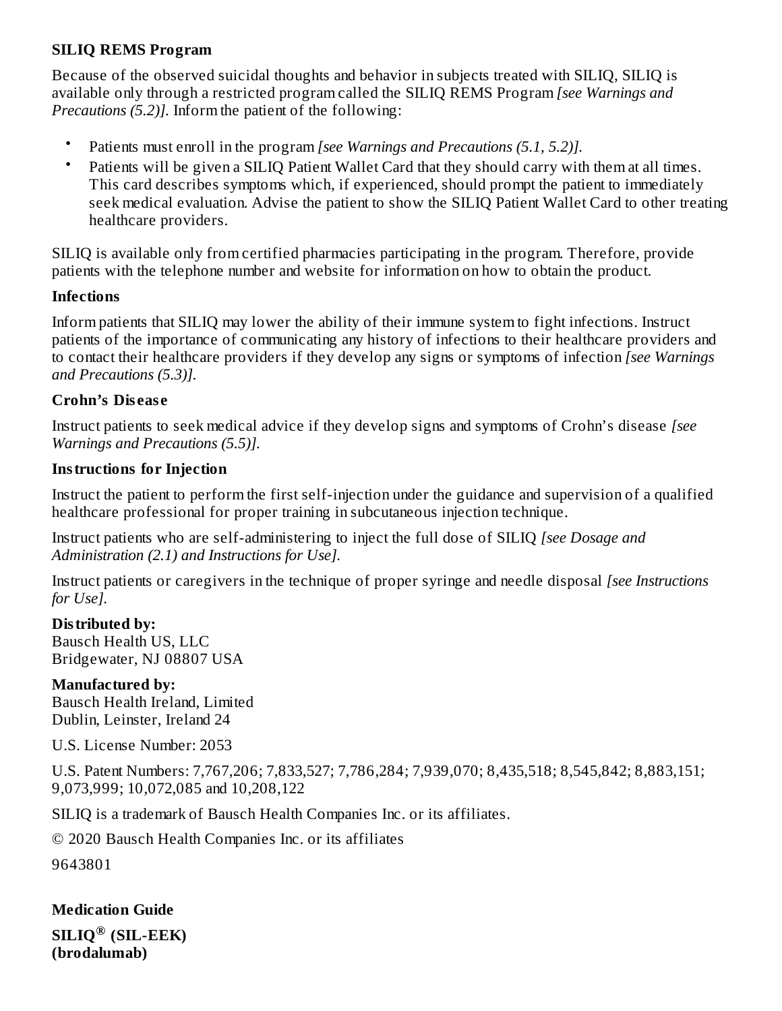#### **SILIQ REMS Program**

Because of the observed suicidal thoughts and behavior in subjects treated with SILIQ, SILIQ is available only through a restricted program called the SILIQ REMS Program *[see Warnings and Precautions (5.2)].* Inform the patient of the following:

- Patients must enroll in the program *[see Warnings and Precautions (5.1, 5.2)].*
- Patients will be given a SILIQ Patient Wallet Card that they should carry with them at all times. This card describes symptoms which, if experienced, should prompt the patient to immediately seek medical evaluation. Advise the patient to show the SILIQ Patient Wallet Card to other treating healthcare providers.

SILIQ is available only from certified pharmacies participating in the program. Therefore, provide patients with the telephone number and website for information on how to obtain the product.

#### **Infections**

Inform patients that SILIQ may lower the ability of their immune system to fight infections. Instruct patients of the importance of communicating any history of infections to their healthcare providers and to contact their healthcare providers if they develop any signs or symptoms of infection *[see Warnings and Precautions (5.3)].*

### **Crohn's Dis eas e**

Instruct patients to seek medical advice if they develop signs and symptoms of Crohn's disease *[see Warnings and Precautions (5.5)].*

### **Instructions for Injection**

Instruct the patient to perform the first self-injection under the guidance and supervision of a qualified healthcare professional for proper training in subcutaneous injection technique.

Instruct patients who are self-administering to inject the full dose of SILIQ *[see Dosage and Administration (2.1) and Instructions for Use].*

Instruct patients or caregivers in the technique of proper syringe and needle disposal *[see Instructions for Use].*

#### **Distributed by:**

Bausch Health US, LLC Bridgewater, NJ 08807 USA

#### **Manufactured by:**

Bausch Health Ireland, Limited Dublin, Leinster, Ireland 24

U.S. License Number: 2053

U.S. Patent Numbers: 7,767,206; 7,833,527; 7,786,284; 7,939,070; 8,435,518; 8,545,842; 8,883,151; 9,073,999; 10,072,085 and 10,208,122

SILIQ is a trademark of Bausch Health Companies Inc. or its affiliates.

© 2020 Bausch Health Companies Inc. or its affiliates

9643801

**Medication Guide SILIQ (SIL-EEK) ®(brodalumab)**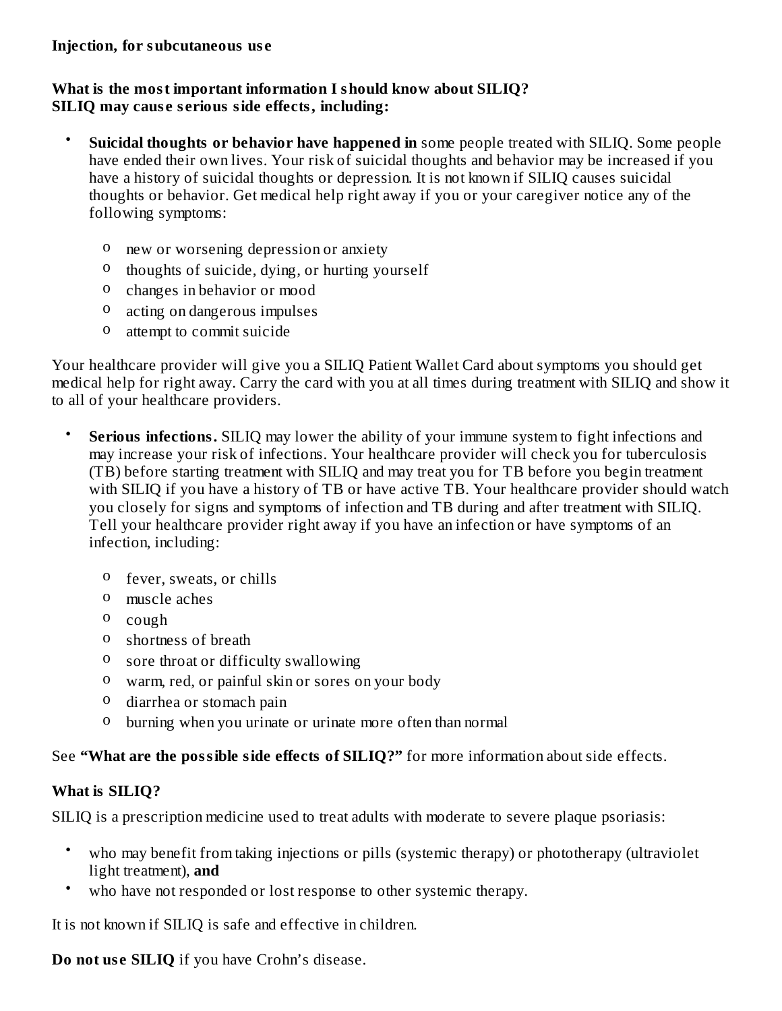#### **What is the most important information I should know about SILIQ? SILIQ may caus e s erious side effects, including:**

- **Suicidal thoughts or behavior have happened in** some people treated with SILIQ. Some people have ended their own lives. Your risk of suicidal thoughts and behavior may be increased if you have a history of suicidal thoughts or depression. It is not known if SILIQ causes suicidal thoughts or behavior. Get medical help right away if you or your caregiver notice any of the following symptoms:
	- o new or worsening depression or anxiety
	- o thoughts of suicide, dying, or hurting yourself
	- o changes in behavior or mood
	- o acting on dangerous impulses
	- o attempt to commit suicide

Your healthcare provider will give you a SILIQ Patient Wallet Card about symptoms you should get medical help for right away. Carry the card with you at all times during treatment with SILIQ and show it to all of your healthcare providers.

- **Serious infections.** SILIQ may lower the ability of your immune system to fight infections and may increase your risk of infections. Your healthcare provider will check you for tuberculosis (TB) before starting treatment with SILIQ and may treat you for TB before you begin treatment with SILIQ if you have a history of TB or have active TB. Your healthcare provider should watch you closely for signs and symptoms of infection and TB during and after treatment with SILIQ. Tell your healthcare provider right away if you have an infection or have symptoms of an infection, including:
	- o fever, sweats, or chills
	- o muscle aches
	- o cough
	- o shortness of breath
	- o sore throat or difficulty swallowing
	- o warm, red, or painful skin or sores on your body
	- o diarrhea or stomach pain
	- o burning when you urinate or urinate more often than normal

See **"What are the possible side effects of SILIQ?"** for more information about side effects.

#### **What is SILIQ?**

SILIQ is a prescription medicine used to treat adults with moderate to severe plaque psoriasis:

- who may benefit from taking injections or pills (systemic therapy) or phototherapy (ultraviolet light treatment), **and**
- who have not responded or lost response to other systemic therapy.

It is not known if SILIQ is safe and effective in children.

**Do not us e SILIQ** if you have Crohn's disease.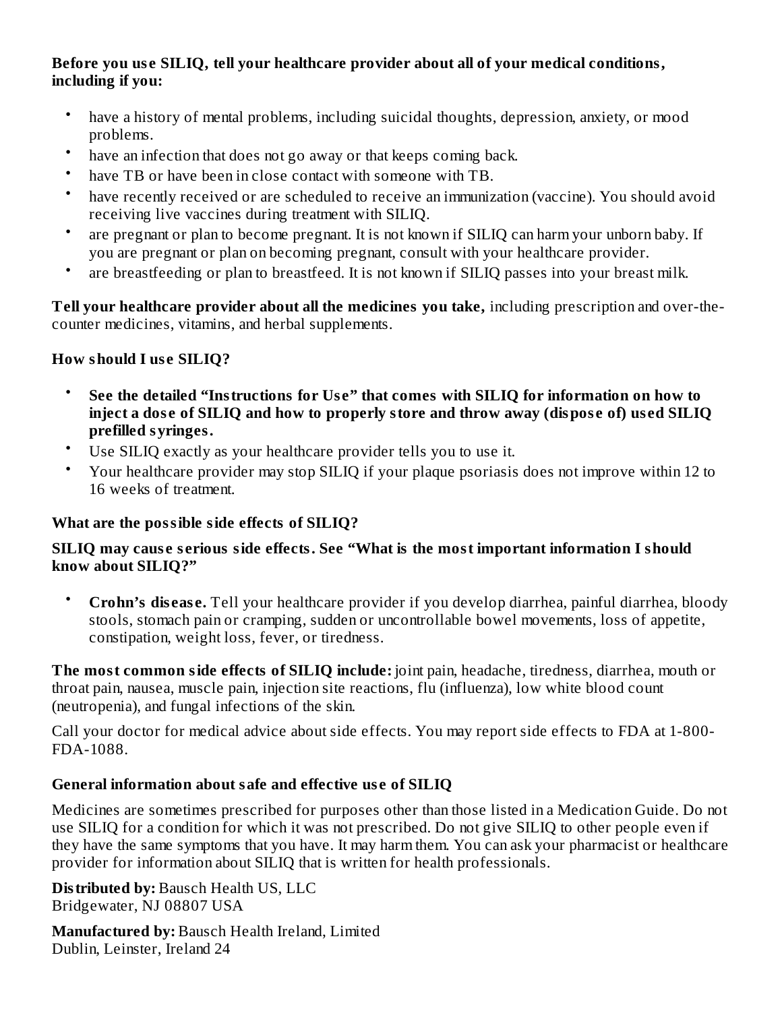#### **Before you us e SILIQ, tell your healthcare provider about all of your medical conditions, including if you:**

- have a history of mental problems, including suicidal thoughts, depression, anxiety, or mood problems.
- have an infection that does not go away or that keeps coming back.
- have TB or have been in close contact with someone with TB.
- have recently received or are scheduled to receive an immunization (vaccine). You should avoid receiving live vaccines during treatment with SILIQ.
- are pregnant or plan to become pregnant. It is not known if SILIQ can harm your unborn baby. If you are pregnant or plan on becoming pregnant, consult with your healthcare provider.
- are breastfeeding or plan to breastfeed. It is not known if SILIQ passes into your breast milk.

**Tell your healthcare provider about all the medicines you take,** including prescription and over-thecounter medicines, vitamins, and herbal supplements.

### **How should I us e SILIQ?**

- **See the detailed "Instructions for Us e" that comes with SILIQ for information on how to** inject a dose of SILIQ and how to properly store and throw away (dispose of) used SILIQ **prefilled syringes.**
- Use SILIQ exactly as your healthcare provider tells you to use it.
- Your healthcare provider may stop SILIQ if your plaque psoriasis does not improve within 12 to 16 weeks of treatment.

#### **What are the possible side effects of SILIQ?**

#### **SILIQ may caus e s erious side effects. See "What is the most important information I should know about SILIQ?"**

• **Crohn's dis eas e.** Tell your healthcare provider if you develop diarrhea, painful diarrhea, bloody stools, stomach pain or cramping, sudden or uncontrollable bowel movements, loss of appetite, constipation, weight loss, fever, or tiredness.

**The most common side effects of SILIQ include:** joint pain, headache, tiredness, diarrhea, mouth or throat pain, nausea, muscle pain, injection site reactions, flu (influenza), low white blood count (neutropenia), and fungal infections of the skin.

Call your doctor for medical advice about side effects. You may report side effects to FDA at 1-800- FDA-1088.

### **General information about safe and effective us e of SILIQ**

Medicines are sometimes prescribed for purposes other than those listed in a Medication Guide. Do not use SILIQ for a condition for which it was not prescribed. Do not give SILIQ to other people even if they have the same symptoms that you have. It may harm them. You can ask your pharmacist or healthcare provider for information about SILIQ that is written for health professionals.

**Distributed by:** Bausch Health US, LLC Bridgewater, NJ 08807 USA

**Manufactured by:** Bausch Health Ireland, Limited Dublin, Leinster, Ireland 24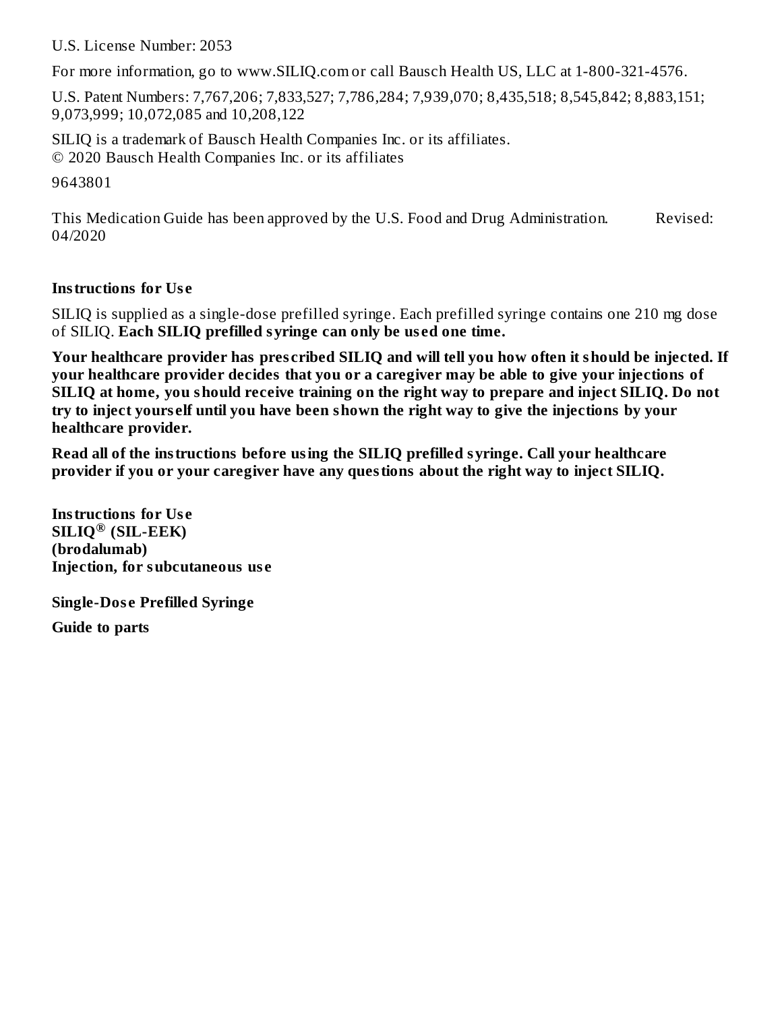U.S. License Number: 2053

For more information, go to www.SILIQ.com or call Bausch Health US, LLC at 1-800-321-4576.

U.S. Patent Numbers: 7,767,206; 7,833,527; 7,786,284; 7,939,070; 8,435,518; 8,545,842; 8,883,151; 9,073,999; 10,072,085 and 10,208,122

SILIQ is a trademark of Bausch Health Companies Inc. or its affiliates. © 2020 Bausch Health Companies Inc. or its affiliates

9643801

This Medication Guide has been approved by the U.S. Food and Drug Administration. Revised: 04/2020

#### **Instructions for Us e**

SILIQ is supplied as a single-dose prefilled syringe. Each prefilled syringe contains one 210 mg dose of SILIQ. **Each SILIQ prefilled syringe can only be us ed one time.**

Your healthcare provider has prescribed SILIQ and will tell you how often it should be injected. If **your healthcare provider decides that you or a caregiver may be able to give your injections of SILIQ at home, you should receive training on the right way to prepare and inject SILIQ. Do not** try to inject yourself until you have been shown the right way to give the injections by your **healthcare provider.**

**Read all of the instructions before using the SILIQ prefilled syringe. Call your healthcare provider if you or your caregiver have any questions about the right way to inject SILIQ.**

**Instructions for Us e SILIQ (SIL-EEK) ®(brodalumab) Injection, for subcutaneous us e**

**Single-Dos e Prefilled Syringe**

**Guide to parts**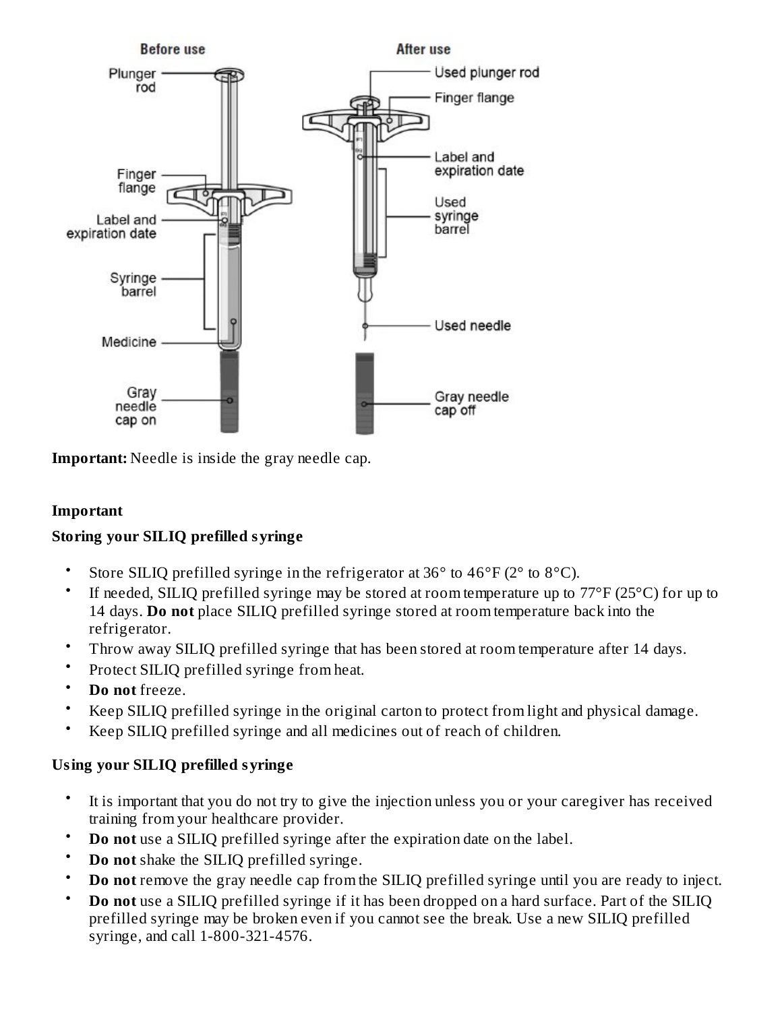

**Important:** Needle is inside the gray needle cap.

#### **Important**

#### **Storing your SILIQ prefilled syringe**

- Store SILIQ prefilled syringe in the refrigerator at 36° to 46°F (2° to 8°C).
- If needed, SILIQ prefilled syringe may be stored at room temperature up to 77°F (25°C) for up to 14 days. **Do not** place SILIQ prefilled syringe stored at room temperature back into the refrigerator.
- Throw away SILIQ prefilled syringe that has been stored at room temperature after 14 days.
- Protect SILIQ prefilled syringe from heat.
- **Do not** freeze.
- Keep SILIQ prefilled syringe in the original carton to protect from light and physical damage.
- Keep SILIQ prefilled syringe and all medicines out of reach of children.

#### **Using your SILIQ prefilled syringe**

- It is important that you do not try to give the injection unless you or your caregiver has received training from your healthcare provider.
- **Do not** use a SILIQ prefilled syringe after the expiration date on the label.
- **Do not** shake the SILIQ prefilled syringe.
- **Do not** remove the gray needle cap from the SILIQ prefilled syringe until you are ready to inject.
- **Do not** use a SILIQ prefilled syringe if it has been dropped on a hard surface. Part of the SILIQ prefilled syringe may be broken even if you cannot see the break. Use a new SILIQ prefilled syringe, and call 1-800-321-4576.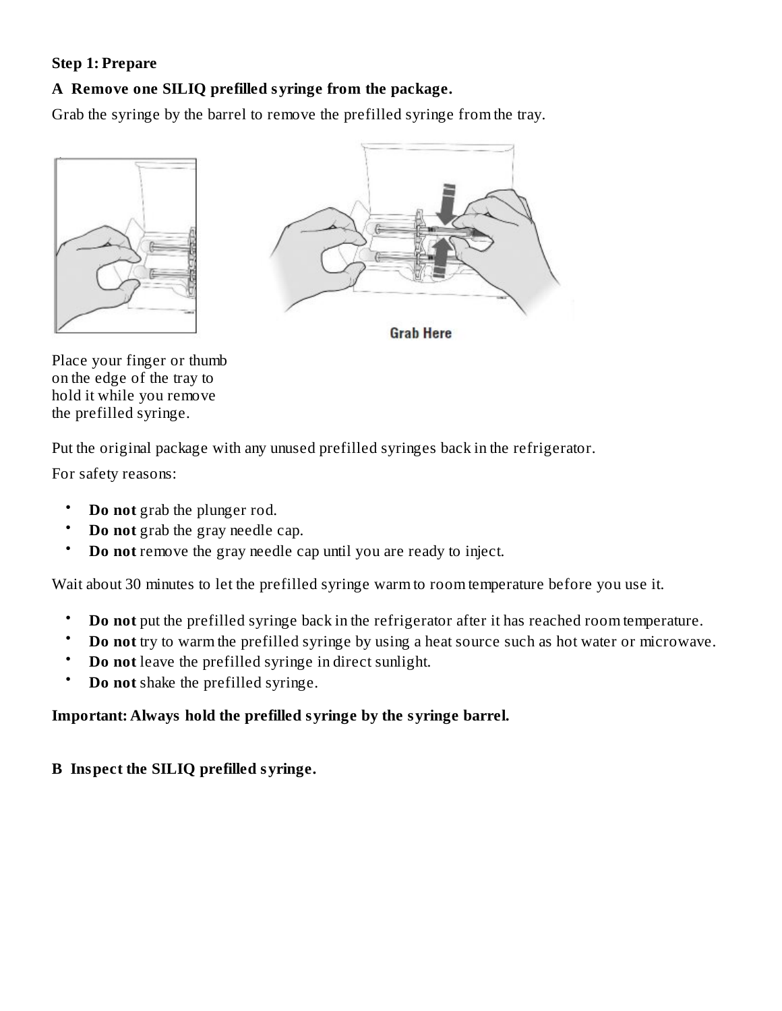#### **Step 1: Prepare**

#### **A Remove one SILIQ prefilled syringe from the package.**

Grab the syringe by the barrel to remove the prefilled syringe from the tray.





**Grab Here** 

Place your finger or thumb on the edge of the tray to hold it while you remove the prefilled syringe.

Put the original package with any unused prefilled syringes back in the refrigerator.

For safety reasons:

- **Do not** grab the plunger rod.
- **Do not** grab the gray needle cap.
- **Do not** remove the gray needle cap until you are ready to inject.

Wait about 30 minutes to let the prefilled syringe warm to room temperature before you use it.

- **Do not** put the prefilled syringe back in the refrigerator after it has reached room temperature.
- **Do not** try to warm the prefilled syringe by using a heat source such as hot water or microwave.
- **Do not** leave the prefilled syringe in direct sunlight.
- **Do not** shake the prefilled syringe.

### **Important: Always hold the prefilled syringe by the syringe barrel.**

#### **B Inspect the SILIQ prefilled syringe.**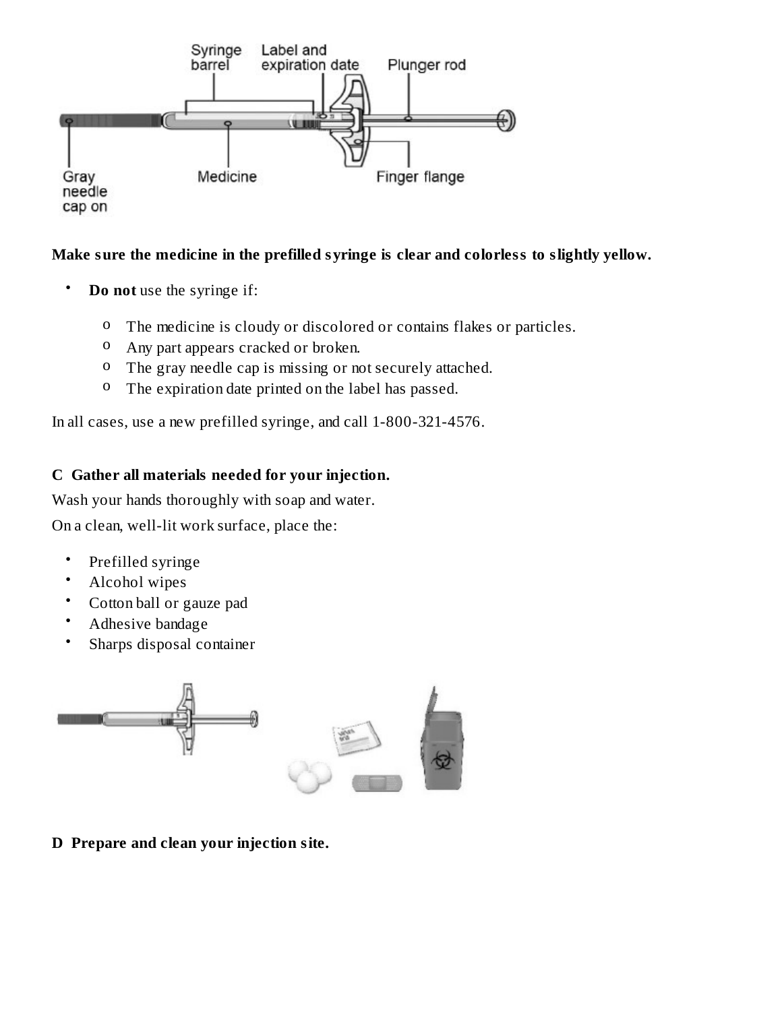

#### **Make sure the medicine in the prefilled syringe is clear and colorless to slightly yellow.**

- **Do not** use the syringe if:
	- o The medicine is cloudy or discolored or contains flakes or particles.
	- o Any part appears cracked or broken.
	- o The gray needle cap is missing or not securely attached.
	- <sup>o</sup> The expiration date printed on the label has passed.

In all cases, use a new prefilled syringe, and call 1-800-321-4576.

#### **C Gather all materials needed for your injection.**

Wash your hands thoroughly with soap and water.

On a clean, well-lit work surface, place the:

- Prefilled syringe
- Alcohol wipes
- Cotton ball or gauze pad
- Adhesive bandage
- Sharps disposal container



**D Prepare and clean your injection site.**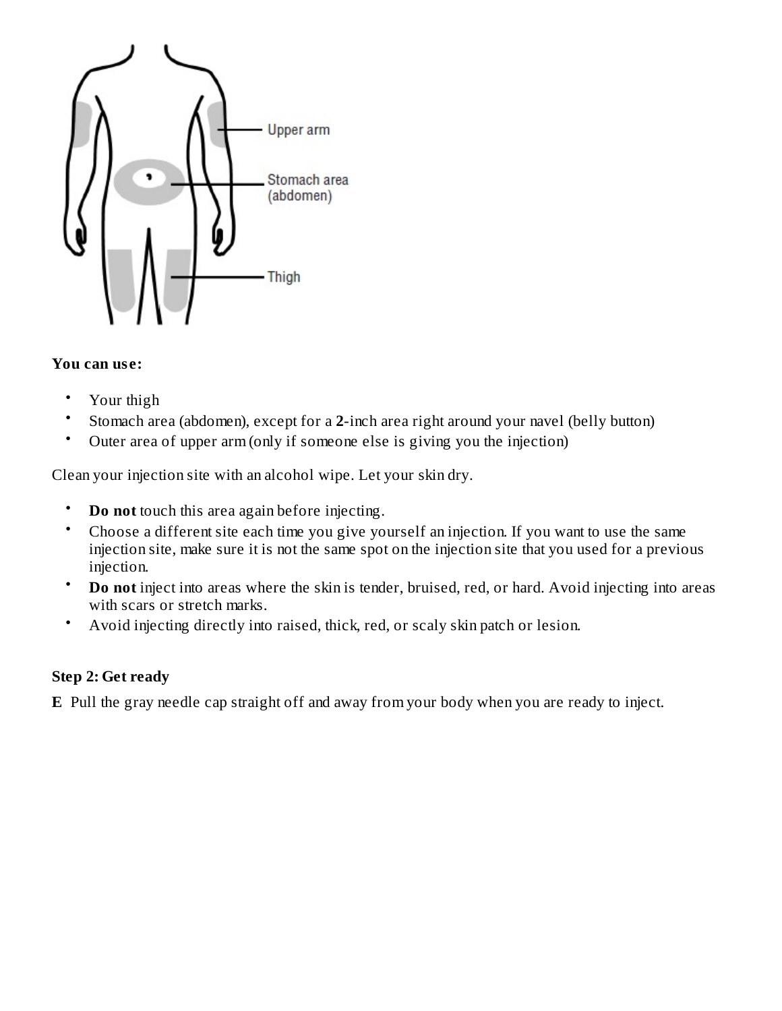

#### **You can us e:**

- Your thigh
- Stomach area (abdomen), except for a **2**-inch area right around your navel (belly button)
- Outer area of upper arm (only if someone else is giving you the injection)

Clean your injection site with an alcohol wipe. Let your skin dry.

- **Do not** touch this area again before injecting.
- Choose a different site each time you give yourself an injection. If you want to use the same injection site, make sure it is not the same spot on the injection site that you used for a previous injection.
- **Do not** inject into areas where the skin is tender, bruised, red, or hard. Avoid injecting into areas with scars or stretch marks.
- Avoid injecting directly into raised, thick, red, or scaly skin patch or lesion.

#### **Step 2: Get ready**

**E** Pull the gray needle cap straight off and away from your body when you are ready to inject.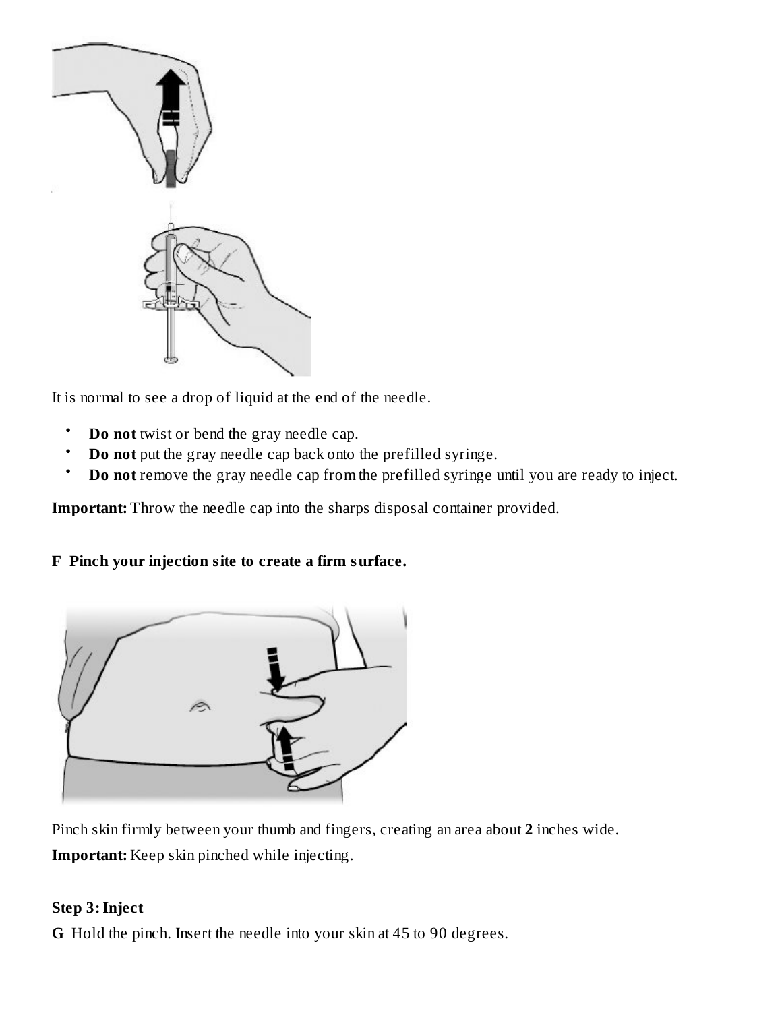

It is normal to see a drop of liquid at the end of the needle.

- **Do not** twist or bend the gray needle cap.
- **Do not** put the gray needle cap back onto the prefilled syringe.
- **Do not** remove the gray needle cap from the prefilled syringe until you are ready to inject.

**Important:** Throw the needle cap into the sharps disposal container provided.

### **F Pinch your injection site to create a firm surface.**



Pinch skin firmly between your thumb and fingers, creating an area about **2** inches wide. **Important:** Keep skin pinched while injecting.

#### **Step 3:Inject**

**G** Hold the pinch. Insert the needle into your skin at 45 to 90 degrees.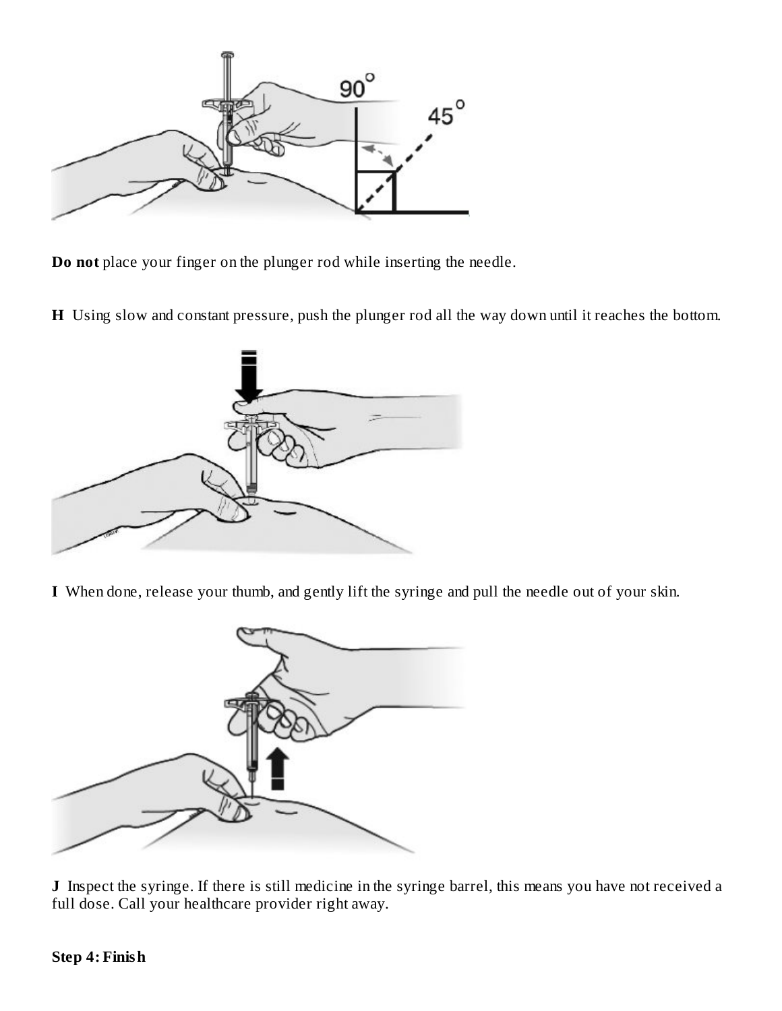

**Do not** place your finger on the plunger rod while inserting the needle.

**H** Using slow and constant pressure, push the plunger rod all the way down until it reaches the bottom.



**I** When done, release your thumb, and gently lift the syringe and pull the needle out of your skin.



**J** Inspect the syringe. If there is still medicine in the syringe barrel, this means you have not received a full dose. Call your healthcare provider right away.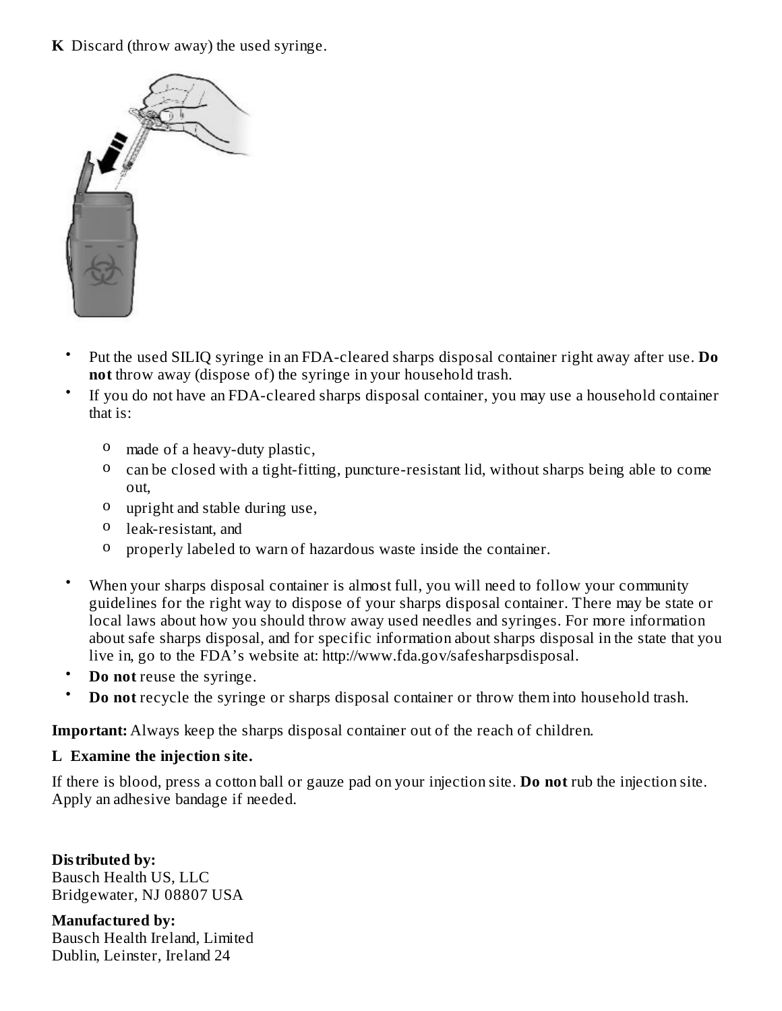#### **K** Discard (throw away) the used syringe.



- Put the used SILIQ syringe in an FDA-cleared sharps disposal container right away after use. **Do not** throw away (dispose of) the syringe in your household trash.
- If you do not have an FDA-cleared sharps disposal container, you may use a household container that is:
	- o made of a heavy-duty plastic,
	- o can be closed with a tight-fitting, puncture-resistant lid, without sharps being able to come out,
	- o upright and stable during use,
	- o leak-resistant, and
	- o properly labeled to warn of hazardous waste inside the container.
- When your sharps disposal container is almost full, you will need to follow your community guidelines for the right way to dispose of your sharps disposal container. There may be state or local laws about how you should throw away used needles and syringes. For more information about safe sharps disposal, and for specific information about sharps disposal in the state that you live in, go to the FDA's website at: http://www.fda.gov/safesharpsdisposal.
- **Do not** reuse the syringe.
- **Do not** recycle the syringe or sharps disposal container or throw them into household trash.

**Important:** Always keep the sharps disposal container out of the reach of children.

#### **L Examine the injection site.**

If there is blood, press a cotton ball or gauze pad on your injection site. **Do not** rub the injection site. Apply an adhesive bandage if needed.

**Distributed by:** Bausch Health US, LLC Bridgewater, NJ 08807 USA

**Manufactured by:** Bausch Health Ireland, Limited Dublin, Leinster, Ireland 24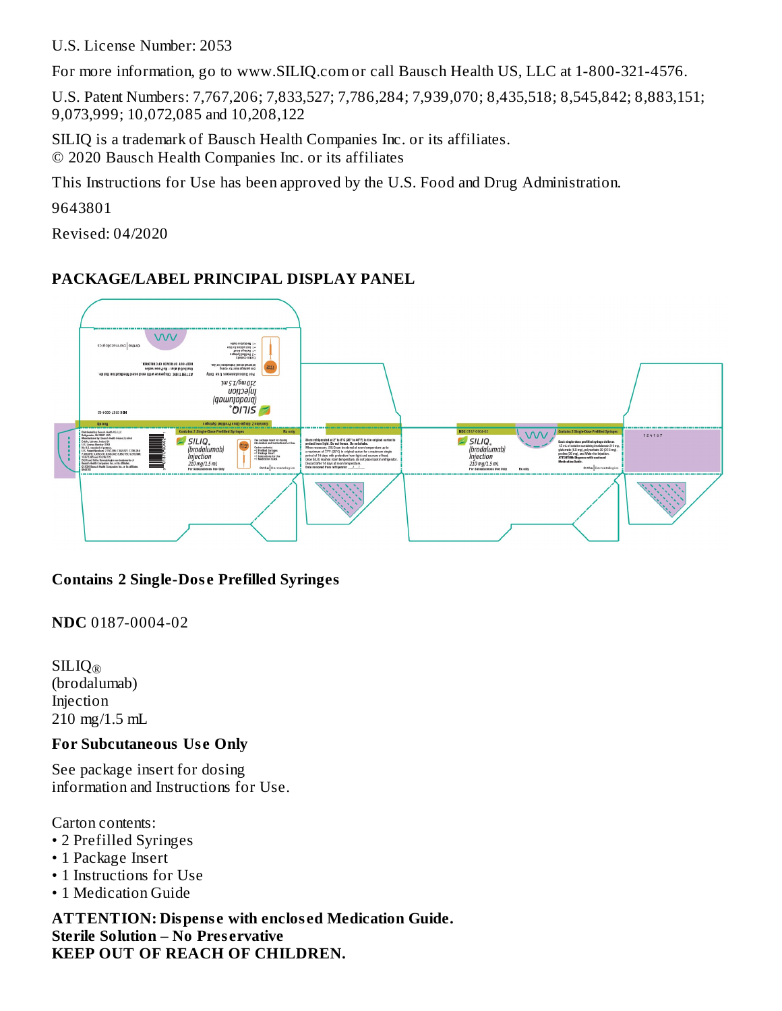U.S. License Number: 2053

For more information, go to www.SILIQ.com or call Bausch Health US, LLC at 1-800-321-4576.

U.S. Patent Numbers: 7,767,206; 7,833,527; 7,786,284; 7,939,070; 8,435,518; 8,545,842; 8,883,151; 9,073,999; 10,072,085 and 10,208,122

SILIQ is a trademark of Bausch Health Companies Inc. or its affiliates. © 2020 Bausch Health Companies Inc. or its affiliates

This Instructions for Use has been approved by the U.S. Food and Drug Administration.

9643801

Revised: 04/2020

### **PACKAGE/LABEL PRINCIPAL DISPLAY PANEL**



#### **Contains 2 Single-Dos e Prefilled Syringes**

**NDC** 0187-0004-02

SILIQ ®(brodalumab) Injection 210 mg/1.5 mL

#### **For Subcutaneous Us e Only**

See package insert for dosing information and Instructions for Use.

Carton contents:

- 2 Prefilled Syringes
- 1 Package Insert
- 1 Instructions for Use
- 1 Medication Guide

**ATTENTION: Dispens e with enclos ed Medication Guide. Sterile Solution – No Pres ervative KEEP OUT OF REACH OF CHILDREN.**